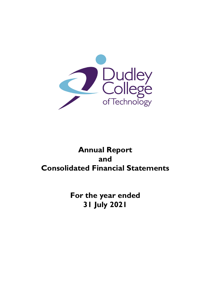

# **Annual Report and Consolidated Financial Statements**

**For the year ended 31 July 2021**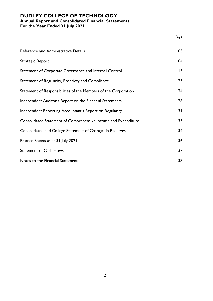# **DUDLEY COLLEGE OF TECHNOLOGY Annual Report and Consolidated Financial Statements**

**For the Year Ended 31 July 2021**

|                                                                 | Page |
|-----------------------------------------------------------------|------|
| Reference and Administrative Details                            | 03   |
| Strategic Report                                                | 04   |
| Statement of Corporate Governance and Internal Control          | 15   |
| Statement of Regularity, Propriety and Compliance               | 23   |
| Statement of Responsibilities of the Members of the Corporation | 24   |
| Independent Auditor's Report on the Financial Statements        | 26   |
| Independent Reporting Accountant's Report on Regularity         | 31   |
| Consolidated Statement of Comprehensive Income and Expenditure  | 33   |
| Consolidated and College Statement of Changes in Reserves       | 34   |
| Balance Sheets as at 31 July 2021                               | 36   |
| <b>Statement of Cash Flows</b>                                  | 37   |
| Notes to the Financial Statements                               | 38   |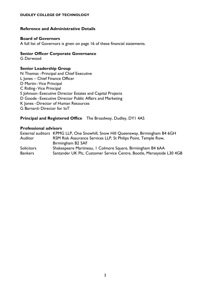#### **Reference and Administrative Details**

#### **Board of Governors**

A full list of Governors is given on page 16 of these financial statements.

#### **Senior Officer Corporate Governance**

G Darwood

### **Senior Leadership Group**

N Thomas - Principal and Chief Executive L Jones – Chief Finance Officer D Martin- Vice Principal C Riding- Vice Principal S Johnson- Executive Director Estates and Capital Projects D Goode - Executive Director Public Affairs and Marketing K Jones -Director of Human Resources G Barnard-Director for IoT

### **Principal and Registered Office** The Broadway, Dudley, DY1 4AS

#### **Professional advisors**

External auditors KPMG LLP, One Snowhill, Snow Hill Queensway, Birmingham B4 6GH Auditor RSM Risk Assurance Services LLP, St Philips Point, Temple Row, Birmingham B2 5AF Solicitors Shakespeare Martineau, 1 Colmore Square, Birmingham B4 6AA Bankers Santander UK Plc, Customer Service Centre, Bootle, Merseyside L30 4GB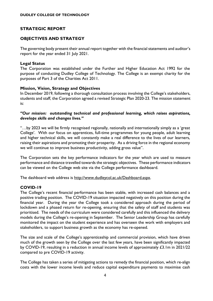# **STRATEGIC REPORT**

### **OBJECTIVES AND STRATEGY**

The governing body present their annual report together with the financial statements and auditor's report for the year ended 31 July 2021.

#### **Legal Status**

The Corporation was established under the Further and Higher Education Act 1992 for the purpose of conducting Dudley College of Technology. The College is an exempt charity for the purposes of Part 3 of the Charities Act 2011.

#### **Mission, Vision, Strategy and Objectives**

In December 2019, following a thorough consultation process involving the College's stakeholders, students and staff, the Corporation agreed a revised Strategic Plan 2020-23. The mission statement is:

#### *"Our mission: outstanding technical and professional learning, which raises aspirations, develops skills and changes lives."*

"…by 2023 we will be firmly recognised regionally, nationally and internationally simply as a 'great College'. With our focus on apprentices, full-time programmes for young people, adult learning and higher technical skills, we will constantly make a real difference to the lives of our learners, raising their aspirations and promoting their prosperity. As a driving force in the regional economy we will continue to improve business productivity, adding gross value".

The Corporation sets the key performance indicators for the year which are used to measure performance and distance travelled towards the strategic objectives. These performance indicators can be viewed on the College web site via the College performance dashboard.

The dashboard web address is [http://www.dudleycol.ac.uk/Dashboard.aspx.](http://www.dudleycol.ac.uk/Dashboard.aspx)

### **COVID-19**

The College's recent financial performance has been stable, with increased cash balances and a positive trading position. The COVID-19 situation impacted negatively on this position during the financial year. During the year the College took a considered approach during the period of lockdown and a phased return for re-opening, ensuring that the safety of staff and students was prioritised. The needs of the curriculum were considered carefully and this influenced the delivery models during the College's re-opening in September. The Senior Leadership Group has carefully monitored the impact on the student experience and has overseen the work with employers and stakeholders, to support business growth as the economy has re-opened.

The size and scale of the College's apprenticeship and commercial provision, which have driven much of the growth seen by the College over the last few years, have been significantly impacted by COVID-19, resulting in a reduction in annual income levels of approximately £3.1m in 2021/22 compared to pre COVID-19 activity.

The College has taken a series of mitigating actions to remedy the financial position, which re-align costs with the lower income levels and reduce capital expenditure payments to maximise cash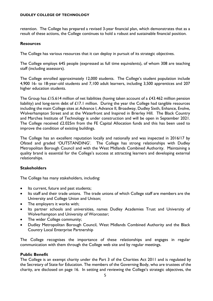retention. The College has prepared a revised 3-year financial plan, which demonstrates that as a result of these actions, the College continues to hold a robust and sustainable financial position.

#### **Resources**

The College has various resources that it can deploy in pursuit of its strategic objectives.

The College employs 645 people (expressed as full time equivalents), of whom 308 are teaching staff (including assessors).

The College enrolled approximately 12,000 students. The College's student population include 4,900 16- to 18-year-old students and 7,100 adult learners, including 3,500 apprentices and 207 higher education students.

The Group has £15.614 million of net liabilities (having taken account of a £43.462 million pension liability) and long-term debt of £17.1 million. During the year the College had tangible resources including the main College sites at Advance I, Advance II, Broadway, Dudley Sixth, Enhance, Evolve, Wolverhampton Street and at the Waterfront and Inspired in Brierley Hill. The Black Country and Marches Institute of Technology is under construction and will be open in September 2021. The College received £2.025m from the FE Capital Allocation funds and this has been used to improve the condition of existing buildings.

The College has an excellent reputation locally and nationally and was inspected in 2016/17 by Ofsted and graded 'OUTSTANDING'. The College has strong relationships with Dudley Metropolitan Borough Council and with the West Midlands Combined Authority. Maintaining a quality brand is essential for the College's success at attracting learners and developing external relationships.

### **Stakeholders**

The College has many stakeholders, including:

- Its current, future and past students;
- Its staff and their trade unions. The trade unions of which College staff are members are the University and College Union and Unison;
- The employers it works with;
- Its partner schools and universities, names Dudley Academies Trust and University of Wolverhampton and University of Worcester;
- The wider College community;
- Dudley Metropolitan Borough Council, West Midlands Combined Authority and the Black Country Local Enterprise Partnership

The College recognises the importance of these relationships and engages in regular communication with them through the College web site and by regular meetings.

#### **Public Benefit**

The College is an exempt charity under the Part 3 of the Charities Act 2011 and is regulated by the Secretary of State for Education. The members of the Governing Body, who are trustees of the charity, are disclosed on page 16. In setting and reviewing the College's strategic objectives, the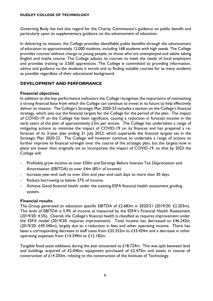Governing Body has had due regard for the Charity Commission's guidance on public benefit and particularly upon its supplementary guidance on the advancement of education.

In delivering its mission, the College provides identifiable public benefits through the advancement of education to approximately 12,000 students, including 168 students with high needs. The College provides courses without charge to young people, to those who are unemployed and adults taking English and maths course. The College adjusts its courses to meet the needs of local employers and provides training to 3,500 apprentices. The College is committed to providing information, advice and guidance to the students it enrols and to finding suitable courses for as many students as possible regardless of their educational background.

### **DEVELOPMENT AND PERFORMANCE**

#### **Financial objectives**

In addition to the key performance indicators the College recognises the importance of maintaining a strong financial base from which the College can continue to invest in its future to help effectively deliver its mission. The College's Strategic Plan 2020-23 includes a section on the College's financial strategy, which sets out the financial targets for the College for the period of the plan. The impact of COVID-19 on the College has been significant, causing a reduction in forecast income in the early years of the plan of approximately  $\epsilon$ 3m per annum. The College has undertaken a range of mitigating actions to minimise the impact of COVID-19 on its finances and has prepared a reforecast of its 3-year plan ending 31 July 2023, which supersede the financial targets set in the Strategic Plan 2020-23. The College will however continue to undertake a range of actions to further improve its financial strength over the course of the strategic plan, but the targets now in place are lower than originally set to incorporate the impact of COVID-19, so that by 2023 the College will:

- Profitably grow income to over £50m and Earnings Before Interest Tax Depreciation and Amortisation (EBITDA) to over £4m (8%+ of income).
- Increase year-end cash to over  $\pounds$ 5m and year-end cash days to more than 30 days.
- Reduce borrowing to below 37% of income.
- Achieve Good financial health under the existing ESFA financial health assessment grading system.

#### **Financial results**

The Group generated an education specific EBITDA of £2.683m in 2020/21 (2019/20: £2.203m). This level of EBITDA is 5.9% of income as measured by the ESFA's Financial Health Assessment (2019/20: 4.5%). Overall, the College's financial health is classified as requires improvement under the ESFA model (2019/20: requires improvement). Total income has decreased to £46.242m (2019/20: £49.340m), largely due to a reduction in fees and other operating income. There has been a corresponding decrease in staff costs from £35.352m to £33.424m and a decrease in other operating expenses from £14.349m to £12.182m.

Tangible fixed asset additions during the year amounted to £18.724m. This was split between land and buildings acquired of  $£2.046m$ , equipment purchased of  $£2.475m$  and assets in course of construction of £14.203m, relating to the construction of the Institute of Technology.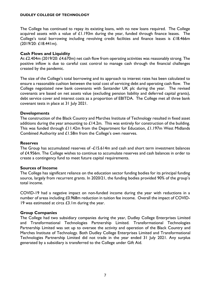The College has continued to repay its existing loans, with no new loans required. The College acquired assets with a value of  $£1.193m$  during the year, funded through finance leases. The College's total borrowing including revolving credit facilities and finance leases is £18.466m (2019/20: £18.441m).

#### **Cash Flows and Liquidity**

At £2.404m (2019/20: £4.670m) net cash flow from operating activities was reasonably strong. The positive inflow is due to careful cost control to manage cash through the financial challenges created by the pandemic.

The size of the College's total borrowing and its approach to interest rates has been calculated to ensure a reasonable cushion between the total cost of servicing debt and operating cash flow. The College negotiated new bank covenants with Santander UK plc during the year. The revised covenants are based on net assets value (excluding pension liability and deferred capital grants), debt service cover and interest costs as a proportion of EBITDA. The College met all three bank covenant tests in place at 31 July 2021.

#### **Developments**

The construction of the Black Country and Marches Institute of Technology resulted in fixed asset additions during the year amounting to  $\pounds$  4.2m. This was entirely for construction of the building. This was funded through £11.42m from the Department for Education, £1.197m West Midlands Combined Authority and £1.58m from the College's own reserves.

#### **Reserves**

The Group has accumulated reserves of -£15.614m and cash and short term investment balances of £4.956m. The College wishes to continue to accumulate reserves and cash balances in order to create a contingency fund to meet future capital requirements.

#### **Sources of Income**

The College has significant reliance on the education sector funding bodies for its principal funding source, largely from recurrent grants. In 2020/21, the funding bodies provided 90% of the group's total income.

COVID-19 had a negative impact on non-funded income during the year with reductions in a number of areas including £0.968m reduction in tuition fee income. Overall the impact of COVID-19 was estimated at circa  $£3$ . Im during the year.

### **Group Companies**

The College had two subsidiary companies during the year, Dudley College Enterprises Limited and Transformational Technologies Partnership Limited. Transformational Technologies Partnership Limited was set up to oversee the activity and operation of the Black Country and Marches Institute of Technology. Both Dudley College Enterprises Limited and Transformational Technologies Partnership Limited did not trade in the year ended 31 July 2021. Any surplus generated by a subsidiary is transferred to the College under Gift Aid.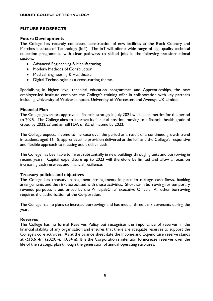### **FUTURE PROSPECTS**

#### **Future Developments**

The College has recently completed construction of new facilities at the Black Country and Marches Institute of Technology (IoT). The IoT will offer a wide range of high-quality technical education programmes with clear pathways to skilled jobs in the following transformational sectors:

- Advanced Engineering & Manufacturing
- Modern Methods of Construction
- Medical Engineering & Healthcare
- Digital Technologies as a cross-cutting theme.

Specialising in higher level technical education programmes and Apprenticeships, the new employer-led Institute combines the College's training offer in collaboration with key partners including University of Wolverhampton, University of Worcester, and Avensys UK Limited.

#### **Financial Plan**

The College governors approved a financial strategy in July 2021 which sets metrics for the period to 2025. The College aims to improve its financial position, moving to a financial health grade of Good by 2022/23 and an EBITDA of 8% of income by 2022.

The College expects income to increase over the period as a result of a continued growth trend in students aged 16-18, apprenticeship provision delivered at the IoT and the College's responsive and flexible approach to meeting adult skills needs.

The College has been able to invest substantially in new buildings through grants and borrowing in recent years. Capital expenditure up to 2023 will therefore be limited and allow a focus on increasing cash reserves and financial resilience.

### **Treasury policies and objectives**

The College has treasury management arrangements in place to manage cash flows, banking arrangements and the risks associated with those activities. Short-term borrowing for temporary revenue purposes is authorised by the Principal/Chief Executive Officer. All other borrowing requires the authorisation of the Corporation.

The College has no plans to increase borrowings and has met all three bank covenants during the year.

#### **Reserves**

The College has no formal Reserves Policy but recognises the importance of reserves in the financial stability of any organisation and ensures that there are adequate reserves to support the College's core activities. As at the balance sheet date the Income and Expenditure reserve stands at -£15.614m (2020: -£11.834m). It is the Corporation's intention to increase reserves over the life of the strategic plan through the generation of annual operating surpluses.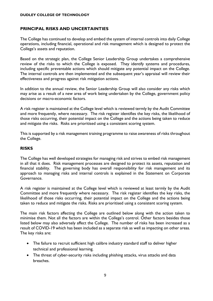### **PRINCIPAL RISKS AND UNCERTAINTIES**

The College has continued to develop and embed the system of internal controls into daily College operations, including financial, operational and risk management which is designed to protect the College's assets and reputation.

Based on the strategic plan, the College Senior Leadership Group undertakes a comprehensive review of the risks to which the College is exposed. They identify systems and procedures, including specific preventable actions which should mitigate any potential impact on the College. The internal controls are then implemented and the subsequent year's appraisal will review their effectiveness and progress against risk mitigation actions.

In addition to the annual review, the Senior Leadership Group will also consider any risks which may arise as a result of a new area of work being undertaken by the College, government policy decisions or macro-economic factors.

A risk register is maintained at the College level which is reviewed termly by the Audit Committee and more frequently, where necessary. The risk register identifies the key risks, the likelihood of those risks occurring, their potential impact on the College and the actions being taken to reduce and mitigate the risks. Risks are prioritised using a consistent scoring system.

This is supported by a risk management training programme to raise awareness of risks throughout the College.

#### **RISKS**

The College has well developed strategies for managing risk and strives to embed risk management in all that it does. Risk management processes are designed to protect its assets, reputation and financial stability. The governing body has overall responsibility for risk management and its approach to managing risks and internal controls is explained in the Statement on Corporate Governance.

A risk register is maintained at the College level which is reviewed at least termly by the Audit Committee and more frequently where necessary. The risk register identifies the key risks, the likelihood of those risks occurring, their potential impact on the College and the actions being taken to reduce and mitigate the risks. Risks are prioritised using a consistent scoring system.

The main risk factors affecting the College are outlined below along with the action taken to minimise them. Not all the factors are within the College's control. Other factors besides those listed below may also adversely affect the College. The number of risks has been increased as a result of COVID-19 which has been included as a separate risk as well as impacting on other areas. The key risks are:

- The failure to recruit sufficient high calibre industry standard staff to deliver higher technical and professional learning.
- The threat of cyber-security risks including phishing attacks, virus attacks and data breaches.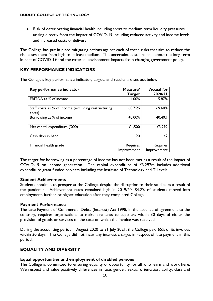• Risk of deteriorating financial health including short to medium term liquidity pressures arising directly from the impact of COVID-19 including reduced activity and income levels and increased costs of delivery.

The College has put in place mitigating actions against each of these risks that aim to reduce the risk assessment from high to at least medium. The uncertainties still remain about the long-term impact of COVID-19 and the external environment impacts from changing government policy.

# **KEY PERFORMANCE INDICATORS**

The College's key performance indicator, targets and results are set out below:

| Key performance indicator                                     | Measure/<br><b>Target</b> | <b>Actual for</b><br>2020/21 |
|---------------------------------------------------------------|---------------------------|------------------------------|
| <b>EBITDA</b> as % of income                                  | 4.00%                     | 5.87%                        |
| Staff costs as % of income (excluding restructuring<br>costs) | 68.75%                    | 69.60%                       |
| Borrowing as % of income                                      | 40.00%                    | 40.40%                       |
| Net capital expenditure ('000)                                | £1,500                    | £3,292                       |
| Cash days in hand                                             | 20                        | 42                           |
| Financial health grade                                        | Requires                  | Requires                     |
|                                                               | Improvement               | Improvement                  |

The target for borrowing as a percentage of income has not been met as a result of the impact of COVID-19 on income generation. The capital expenditure of £3.292m includes additional expenditure grant funded projects including the Institute of Technology and T Levels.

### **Student Achievements**

Students continue to prosper at the College, despite the disruption to their studies as a result of the pandemic. Achievement rates remained high in 2019/20, 84.2% of students moved into employment, further or higher education after they completed College.

### **Payment Performance**

The Late Payment of Commercial Debts (Interest) Act 1998, in the absence of agreement to the contrary, requires organisations to make payments to suppliers within 30 days of either the provision of goods or services or the date on which the invoice was received.

During the accounting period 1 August 2020 to 31 July 2021, the College paid 65% of its invoices within 30 days. The College did not incur any interest charges in respect of late payment in this period.

# **EQUALITY AND DIVERSITY**

### **Equal opportunities and employment of disabled persons**

The College is committed to ensuring equality of opportunity for all who learn and work here. We respect and value positively differences in race, gender, sexual orientation, ability, class and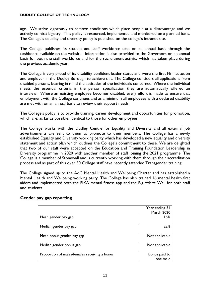age. We strive vigorously to remove conditions which place people at a disadvantage and we actively combat bigotry. This policy is resourced, implemented and monitored on a planned basis. The College's equality and diversity policy is published on the college's intranet site.

The College publishes its student and staff workforce data on an annual basis through the dashboard available on the website. Information is also provided to the Governors on an annual basis for both the staff workforce and for the recruitment activity which has taken place during the previous academic year.

The College is very proud of its disability confident leader status and were the first FE institution and employer in the Dudley Borough to achieve this. The College considers all applications from disabled persons, bearing in mind the aptitudes of the individuals concerned. Where the individual meets the essential criteria in the person specification they are automatically offered an interview. Where an existing employee becomes disabled, every effort is made to ensure that employment with the College continues and as a minimum all employees with a declared disability are met with on an annual basis to review their support needs.

The College's policy is to provide training, career development and opportunities for promotion, which are, as far as possible, identical to those for other employees.

The College works with the Dudley Centre for Equality and Diversity and all external job advertisements are sent to them to promote to their members. The College has a newly established Equality and Diversity working party which has developed a new equality and diversity statement and action plan which outlines the College's commitment to these. We are delighted that two of our staff were accepted on the Education and Training Foundation Leadership in Diversity programme in 2020 with another member of staff joining the 2021 programme. The College is a member of Stonewall and is currently working with them through their accreditation process and as part of this over 50 College staff have recently attended Transgender training.

The College signed up to the AoC Mental Health and Wellbeing Charter and has established a Mental Health and Wellbeing working party. The College has also trained 16 mental health first aiders and implemented both the FIKA mental fitness app and the Big White Wall for both staff and students.

|                                               | Year ending 31    |
|-----------------------------------------------|-------------------|
|                                               | <b>March 2020</b> |
| Mean gender pay gap                           | 16%               |
| Median gender pay gap                         | 22%               |
| Mean bonus gender pay gap                     | Not applicable    |
| Median gender bonus gap                       | Not applicable    |
| Proportion of males/females receiving a bonus | Bonus paid to     |
|                                               | one male          |

### **Gender pay gap reporting**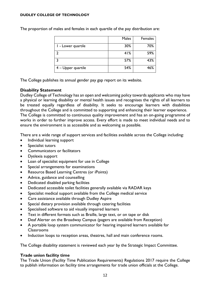|                      | Males | Females |
|----------------------|-------|---------|
| - Lower quartile     | 30%   | 70%     |
|                      | 41%   | 59%     |
|                      | 57%   | 43%     |
| $4 -$ Upper quartile | 54%   | 46%     |

The proportion of males and females in each quartile of the pay distribution are:

The College publishes its annual gender pay gap report on its website.

### **Disability Statement**

Dudley College of Technology has an open and welcoming policy towards applicants who may have a physical or learning disability or mental health issues and recognises the rights of all learners to be treated equally regardless of disability. It seeks to encourage learners with disabilities throughout the College and is committed to supporting and enhancing their learner experience. The College is committed to continuous quality improvement and has an on-going programme of works in order to further improve access. Every effort is made to meet individual needs and to ensure the environment is as accessible and as welcoming as possible.

There are a wide range of support services and facilities available across the College including:

- Individual learning support
- Specialist tutors
- Communicators or facilitators
- Dyslexia support
- Loan of specialist equipment for use in College
- Special arrangements for examinations
- Resource Based Learning Centres (or iPoints)
- Advice, guidance and counselling
- Dedicated disabled parking facilities
- Dedicated accessible toilet facilities generally available via RADAR keys
- Specialist medical support available from the College medical service
- Care assistance available through Dudley Aspire
- Special dietary provision available through catering facilities
- Specialised software to aid visually impaired learners
- Text in different formats such as Braille, large text, or on tape or disk
- Deaf Alerter on the Broadway Campus (pagers are available from Reception)
- A portable loop system communicator for hearing impaired learners available for Classrooms
- Induction loops to reception areas, theatres, hall and main conference rooms.

The College disability statement is reviewed each year by the Strategic Impact Committee.

### **Trade union facility time**

The Trade Union (Facility Time Publication Requirements) Regulations 2017 require the College to publish information on facility time arrangements for trade union officials at the College.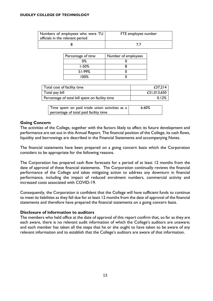| Numbers of employees who were TU<br>officials in the relevant period | FTE employee number |
|----------------------------------------------------------------------|---------------------|
|                                                                      |                     |

| Percentage of time | Number of employees |
|--------------------|---------------------|
| $0\%$              |                     |
| $1 - 50%$          |                     |
| $51-99%$           |                     |
| 100%               |                     |

| Total cost of facility time                     | £37,214     |
|-------------------------------------------------|-------------|
| Total pay bill                                  | £31,013,650 |
| Percentage of total bill spent on facility time | 0.12%       |

Time spent on paid trade union activities as a percentage of total paid facility time 6.60%

### **Going Concern**

The activities of the College, together with the factors likely to affect its future development and performance are set out in this Annual Report. The financial position of the College, its cash flows, liquidity and borrowings are described in the Financial Statements and accompanying Notes.

The financial statements have been prepared on a going concern basis which the Corporation considers to be appropriate for the following reasons.

The Corporation has prepared cash flow forecasts for a period of at least 12 months from the date of approval of these financial statements. The Corporation continually reviews the financial performance of the College and takes mitigating action to address any downturn in financial performance, including the impact of reduced enrolment numbers, commercial activity and increased costs associated with COVID-19.

Consequently, the Corporation is confident that the College will have sufficient funds to continue to meet its liabilities as they fall due for at least 12 months from the date of approval of the financial statements and therefore have prepared the financial statements on a going concern basis.

#### **Disclosure of information to auditors**

The members who held office at the date of approval of this report confirm that, so far as they are each aware, there is no relevant audit information of which the College's auditors are unaware; and each member has taken all the steps that he or she ought to have taken to be aware of any relevant information and to establish that the College's auditors are aware of that information.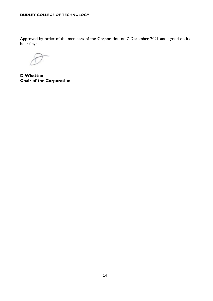Approved by order of the members of the Corporation on 7 December 2021 and signed on its behalf by:

**D Whatton Chair of the Corporation**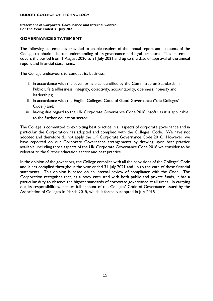#### **Statement of Corporate Governance and Internal Control For the Year Ended 31 July 2021**

#### **GOVERNANCE STATEMENT**

The following statement is provided to enable readers of the annual report and accounts of the College to obtain a better understanding of its governance and legal structure. This statement covers the period from 1 August 2020 to 31 July 2021 and up to the date of approval of the annual report and financial statements.

The College endeavours to conduct its business:

- i. in accordance with the seven principles identified by the Committee on Standards in Public Life (selflessness, integrity, objectivity, accountability, openness, honesty and leadership);
- ii. in accordance with the English Colleges' Code of Good Governance ("the Colleges' Code") and;
- iii. having due regard to the UK Corporate Governance Code 2018 insofar as it is applicable to the further education sector.

The College is committed to exhibiting best practice in all aspects of corporate governance and in particular the Corporation has adopted and complied with the Colleges' Code. We have not adopted and therefore do not apply the UK Corporate Governance Code 2018. However, we have reported on our Corporate Governance arrangements by drawing upon best practice available, including those aspects of the UK Corporate Governance Code 2018 we consider to be relevant to the further education sector and best practice.

In the opinion of the governors, the College complies with all the provisions of the Colleges' Code and it has complied throughout the year ended 31 July 2021 and up to the date of these financial statements. This opinion is based on an internal review of compliance with the Code. The Corporation recognises that, as a body entrusted with both public and private funds, it has a particular duty to observe the highest standards of corporate governance at all times. In carrying out its responsibilities, it takes full account of the Colleges' Code of Governance issued by the Association of Colleges in March 2015, which it formally adopted in July 2015.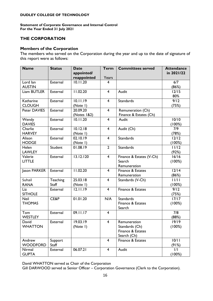#### **Statement of Corporate Governance and Internal Control For the Year Ended 31 July 2021**

### **THE CORPORATION**

#### **Members of the Corporation**

The members who served on the Corporation during the year and up to the date of signature of this report were as follows:

| <b>Name</b>        | <b>Status</b> | <b>Date</b> | <b>Term</b>             | <b>Committees served</b> | <b>Attendance</b> |
|--------------------|---------------|-------------|-------------------------|--------------------------|-------------------|
|                    |               | appointed/  |                         |                          | in 2021/22        |
|                    |               | reappointed | Years                   |                          |                   |
| Lord lan           | External      | 10.11.20    | 4                       |                          | 6/7               |
| <b>AUSTIN</b>      |               |             |                         |                          | (86%)             |
| <b>Liam BUTLER</b> | External      | 11.02.20    | $\overline{4}$          | Audit                    | 12/15             |
|                    |               |             |                         |                          | 80%               |
| Katharine          | External      | 10.11.19    | $\overline{4}$          | <b>Standards</b>         | 9/12              |
| <b>CLOUGH</b>      |               | (Note I)    |                         |                          | (75%)             |
| Peter DAVIES       | External      | 20.09.20    | $\overline{4}$          | Remuneration (Ch)        |                   |
|                    |               | (Notes 1&2) |                         | Finance & Estates (Ch)   |                   |
| Wendy              | External      | 10.11.20    | $\overline{4}$          | Audit                    | 10/10             |
| <b>DAVIES</b>      |               |             |                         |                          | (100%)            |
| Charlie            | External      | 10.12.18    | $\overline{4}$          | Audit (Ch)               | 7/9               |
| <b>HARVEY</b>      |               | (Note I)    |                         |                          | (78%)             |
| Alison             | External      | 02.10.19    | $\overline{\mathbf{4}}$ | <b>Standards</b>         | $12/12$           |
| <b>HODGE</b>       |               | (Note I)    |                         |                          | (100%)            |
| Helen              | Student       | 01.08.19    | $\overline{2}$          | <b>Standards</b>         | 11/12             |
| <b>LAWLEY</b>      |               |             |                         |                          | (92%)             |
| Valerie            | External      | 13.12.120   | $\overline{4}$          | Finance & Estates (V-Ch) | 16/16             |
| <b>LITTLE</b>      |               |             |                         | Search                   | (100%)            |
|                    |               |             |                         | Remuneration             |                   |
| Jason PARKER       | External      | 11.02.20    | $\overline{4}$          | Finance & Estates        | 12/14             |
|                    |               |             |                         | Remuneration             | (86%)             |
| Suhail             | Teaching      | 25.03.18    | $\overline{4}$          | Standards (V-Ch)         | 11/11             |
| <b>RANA</b>        | <b>Staff</b>  | (Note I)    |                         |                          | (100%)            |
| Liz                | External      | 12.11.19    | 4                       | Finance & Estates        | 9/12              |
| <b>SITHOLE</b>     |               |             |                         |                          | (75%)             |
| <b>Neil</b>        | CE&P          | 01.01.20    | N/A                     | <b>Standards</b>         | 17/17             |
| <b>THOMAS</b>      |               |             |                         | Finance & Estates        | (100%)            |
|                    |               |             |                         | Search                   |                   |
| Tom                | External      | 09.11.17    | $\overline{4}$          |                          | 7/8               |
| <b>WESTLEY</b>     |               |             |                         |                          | (88%)             |
| David              | External      | 19.03.19    | 4                       | Remuneration             | 19/19             |
| <b>WHATTON</b>     |               | (Note I)    |                         | Standards (Ch)           | (100%)            |
|                    |               |             |                         | Finance & Estates        |                   |
|                    |               |             |                         | Search (Ch)              |                   |
| Andrew             | Support       |             | $\overline{4}$          | Finance & Estates        | 10/11             |
| <b>WOODFORD</b>    | Staff         |             |                         |                          | (91%)             |
| Nirmal             | External      | 06.07.21    | $\overline{4}$          | Audit                    | 1/1               |
| <b>GUPTA</b>       |               |             |                         |                          | (100%)            |

David WHATTON served as Chair of the Corporation

Gill DARWOOD served as Senior Officer – Corporation Governance (Clerk to the Corporation).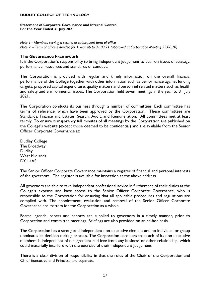#### **Statement of Corporate Governance and Internal Control For the Year Ended 31 July 2021**

*Note 1 - Members serving a second or subsequent term of office*

*Note 2 – Term of office extended for 1 year up to 31.03.21 (approved at Corporation Meeting 25.08.20)*

#### **The Governance Framework**

It is the Corporation's responsibility to bring independent judgement to bear on issues of strategy, performance, resources and standards of conduct.

The Corporation is provided with regular and timely information on the overall financial performance of the College together with other information such as performance against funding targets, proposed capital expenditure, quality matters and personnel related matters such as health and safety and environmental issues. The Corporation held seven meetings in the year to 31 July 2021.

The Corporation conducts its business through a number of committees. Each committee has terms of reference, which have been approved by the Corporation. These committees are Standards, Finance and Estates, Search, Audit, and Remuneration. All committees met at least termly. To ensure transparency full minutes of all meetings by the Corporation are published on the College's website (except those deemed to be confidential) and are available from the Senior Officer Corporate Governance at:

Dudley College The Broadway **Dudley** West Midlands DY1 4AS

The Senior Officer Corporate Governance maintains a register of financial and personal interests of the governors. The register is available for inspection at the above address.

All governors are able to take independent professional advice in furtherance of their duties at the College's expense and have access to the Senior Officer Corporate Governance, who is responsible to the Corporation for ensuring that all applicable procedures and regulations are complied with. The appointment, evaluation and removal of the Senior Officer Corporate Governance are matters for the Corporation as a whole.

Formal agenda, papers and reports are supplied to governors in a timely manner, prior to Corporation and committee meetings. Briefings are also provided on an ad-hoc basis.

The Corporation has a strong and independent non-executive element and no individual or group dominates its decision-making process. The Corporation considers that each of its non-executive members is independent of management and free from any business or other relationship, which could materially interfere with the exercise of their independent judgement.

There is a clear division of responsibility in that the roles of the Chair of the Corporation and Chief Executive and Principal are separate.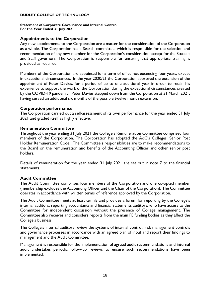# **Statement of Corporate Governance and Internal Control**

**For the Year Ended 31 July 2021**

#### **Appointments to the Corporation**

Any new appointments to the Corporation are a matter for the consideration of the Corporation as a whole. The Corporation has a Search committee, which is responsible for the selection and recommendation of any new member for the Corporation's consideration except for the Student and Staff governors. The Corporation is responsible for ensuring that appropriate training is provided as required.

Members of the Corporation are appointed for a term of office not exceeding four years, except in exceptional circumstances. In the year 2020/21 the Corporation approved the extension of the appointment of Peter Davies, for a period of up to one additional year in order to retain his experience to support the work of the Corporation during the exceptional circumstances created by the COVID-19 pandemic. Peter Davies stepped down from the Corporation at 31 March 2021, having served an additional six months of the possible twelve month extension.

#### **Corporation performance**

The Corporation carried out a self-assessment of its own performance for the year ended 31 July 2021 and graded itself as highly effective.

### **Remuneration Committee**

Throughout the year ending 31 July 2021 the College's Remuneration Committee comprised four members of the Corporation. The Corporation has adopted the AoC's Colleges' Senior Post Holder Remuneration Code. The Committee's responsibilities are to make recommendations to the Board on the remuneration and benefits of the Accounting Officer and other senior post holders.

Details of remuneration for the year ended 31 July 2021 are set out in note 7 to the financial statements.

### **Audit Committee**

The Audit Committee comprises four members of the Corporation and one co-opted member (membership excludes the Accounting Officer and the Chair of the Corporation). The Committee operates in accordance with written terms of reference approved by the Corporation.

The Audit Committee meets at least termly and provides a forum for reporting by the College's internal auditors, reporting accountants and financial statements auditors, who have access to the Committee for independent discussion without the presence of College management. The Committee also receives and considers reports from the main FE funding bodies as they affect the College's business.

The College's internal auditors review the systems of internal control, risk management controls and governance processes in accordance with an agreed plan of input and report their findings to management and the Audit Committee.

Management is responsible for the implementation of agreed audit recommendations and internal audit undertakes periodic follow-up reviews to ensure such recommendations have been implemented.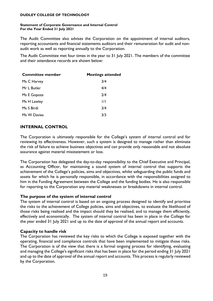#### **Statement of Corporate Governance and Internal Control For the Year Ended 31 July 2021**

The Audit Committee also advises the Corporation on the appointment of internal auditors, reporting accountants and financial statements auditors and their remuneration for audit and nonaudit work as well as reporting annually to the Corporation.

The Audit Committee met four times in the year to 31 July 2021. The members of the committee and their attendance records are shown below:

| <b>Committee member</b> | <b>Meetings attended</b> |  |  |
|-------------------------|--------------------------|--|--|
| Ms C Harvey             | 3/4                      |  |  |
| Mr L Butler             | 4/4                      |  |  |
| Ms E Gopoza             | 2/4                      |  |  |
| Ms H Lawley             | 1/1                      |  |  |
| Ms S Birdi              | 3/4                      |  |  |
| Ms W Davies             | 3/3                      |  |  |

### **INTERNAL CONTROL**

The Corporation is ultimately responsible for the College's system of internal control and for reviewing its effectiveness. However, such a system is designed to manage rather than eliminate the risk of failure to achieve business objectives and can provide only reasonable and not absolute assurance against material misstatement or loss.

The Corporation has delegated the day-to-day responsibility to the Chief Executive and Principal, as Accounting Officer, for maintaining a sound system of internal control that supports the achievement of the College's policies, aims and objectives, whilst safeguarding the public funds and assets for which he is personally responsible, in accordance with the responsibilities assigned to him in the Funding Agreement between the College and the funding bodies. He is also responsible for reporting to the Corporation any material weaknesses or breakdowns in internal control.

#### **The purpose of the system of internal control**

The system of internal control is based on an ongoing process designed to identify and prioritise the risks to the achievement of College policies, aims and objectives, to evaluate the likelihood of those risks being realised and the impact should they be realised, and to manage them efficiently, effectively and economically. The system of internal control has been in place in the College for the year ended 31 July 2021 and up to the date of approval of the annual report and accounts.

#### **Capacity to handle risk**

The Corporation has reviewed the key risks to which the College is exposed together with the operating, financial and compliance controls that have been implemented to mitigate those risks. The Corporation is of the view that there is a formal ongoing process for identifying, evaluating and managing the College's significant risks that has been in place for the period ending 31 July 2021 and up to the date of approval of the annual report and accounts. This process is regularly reviewed by the Corporation.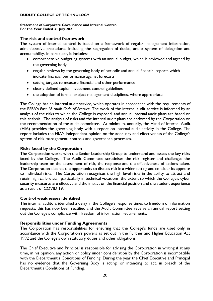#### **Statement of Corporate Governance and Internal Control For the Year Ended 31 July 2021**

#### **The risk and control framework**

The system of internal control is based on a framework of regular management information, administrative procedures including the segregation of duties, and a system of delegation and accountability. In particular, it includes:

- comprehensive budgeting systems with an annual budget, which is reviewed and agreed by the governing body
- regular reviews by the governing body of periodic and annual financial reports which indicate financial performance against forecasts
- setting targets to measure financial and other performance
- clearly defined capital investment control guidelines
- the adoption of formal project management disciplines, where appropriate.

The College has an internal audit service, which operates in accordance with the requirements of the ESFA's *Post 16 Audit Code of Practice*. The work of the internal audit service is informed by an analysis of the risks to which the College is exposed, and annual internal audit plans are based on this analysis. The analysis of risks and the internal audit plans are endorsed by the Corporation on the recommendation of the audit committee. At minimum, annually, the Head of Internal Audit (HIA) provides the governing body with a report on internal audit activity in the College. The report includes the HIA's independent opinion on the adequacy and effectiveness of the College's system of risk management, controls and governance processes.

#### **Risks faced by the Corporation**

The Corporation works with the Senior Leadership Group to understand and assess the key risks faced by the College. The Audit Committee scrutinises the risk register and challenges the leadership team on the assessment of risk, the response and the effectiveness of actions taken. The Corporation also has the opportunity to discuss risk in a wider setting and consider its appetite to individual risks. The Corporation recognises the high level risks in the ability to attract and retain high calibre staff particularly in technical vocations, the extent to which the College's cyber security measures are effective and the impact on the financial position and the student experience as a result of COVID-19.

#### **Control weaknesses identified**

The internal auditors identified a delay in the College's response times to freedom of information requests, this has now been rectified and the Audit Committee receive an annual report setting out the College's compliance with freedom of information requirements.

#### **Responsibilities under Funding Agreements**

The Corporation has responsibilities for ensuring that the College's funds are used only in accordance with the Corporation's powers as set out in the Further and Higher Education Act 1992 and the College's own statutory duties and other obligations.

The Chief Executive and Principal is responsible for advising the Corporation in writing if at any time, in his opinion, any action or policy under consideration by the Corporation is incompatible with the Department's Conditions of Funding. During the year the Chief Executive and Principal has no evidence that the Governing Body is acting, or intending to act, in breach of the Department's Conditions of Funding.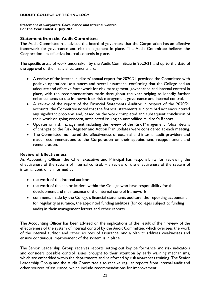# **Statement of Corporate Governance and Internal Control**

**For the Year Ended 31 July 2021**

#### **Statement from the Audit Committee**

The Audit Committee has advised the board of governors that the Corporation has an effective framework for governance and risk management in place. The Audit Committee believes the Corporation has effective internal controls in place.

The specific areas of work undertaken by the Audit Committee in 2020/21 and up to the date of the approval of the financial statements are:

- A review of the internal auditors' annual report for 2020/21 provided the Committee with positive operational assurances and overall assurance, confirming that the College had an adequate and effective framework for risk management, governance and internal control in place, with the recommendations made throughout the year helping to identify further enhancements to the framework or risk management governance and internal control.
- A review of the report of the Financial Statements Auditor in respect of the 2020/21 accounts; the Committee noted that the financial statements auditors had not encountered any significant problems and, based on the work completed and subsequent conclusion of their work on going concern, anticipated issuing an unmodified Auditor's Report.
- Updates on risk management including the review of the Risk Management Policy, details of changes to the Risk Register and Action Plan updates were considered at each meeting.
- The Committee monitored the effectiveness of external and internal audit providers and made recommendations to the Corporation on their appointment, reappointment and remuneration.

### **Review of Effectiveness**

As Accounting Officer, the Chief Executive and Principal has responsibility for reviewing the effectiveness of the system of internal control. His review of the effectiveness of the system of internal control is informed by:

- the work of the internal auditors
- the work of the senior leaders within the College who have responsibility for the development and maintenance of the internal control framework
- comments made by the College's financial statements auditors, the reporting accountant for regularity assurance, the appointed funding auditors (for colleges subject to funding audit) in their management letters and other reports.

The Accounting Officer has been advised on the implications of the result of their review of the effectiveness of the system of internal control by the Audit Committee, which oversees the work of the internal auditor and other sources of assurance, and a plan to address weaknesses and ensure continuous improvement of the system is in place.

The Senior Leadership Group receives reports setting out key performance and risk indicators and considers possible control issues brought to their attention by early warning mechanisms, which are embedded within the departments and reinforced by risk awareness training. The Senior Leadership Group and the Audit Committee also receive regular reports from internal audit and other sources of assurance, which include recommendations for improvement.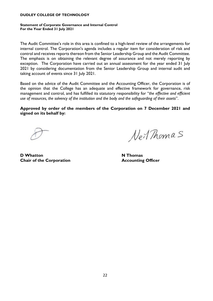#### **Statement of Corporate Governance and Internal Control For the Year Ended 31 July 2021**

The Audit Committee's role in this area is confined to a high-level review of the arrangements for internal control. The Corporation's agenda includes a regular item for consideration of risk and control and receives reports thereon from the Senior Leadership Group and the Audit Committee. The emphasis is on obtaining the relevant degree of assurance and not merely reporting by exception. The Corporation have carried out an annual assessment for the year ended 31 July 2021 by considering documentation from the Senior Leadership Group and internal audit and taking account of events since 31 July 2021.

Based on the advice of the Audit Committee and the Accounting Officer, the Corporation is of the opinion that the College has an adequate and effective framework for governance, risk management and control, and has fulfilled its statutory responsibility for "*the effective and efficient use of resources, the solvency of the institution and the body and the safeguarding of their assets*".

**Approved by order of the members of the Corporation on 7 December 2021 and signed on its behalf by:**

Neit Thomas

**D Whatton N Thomas Chair of the Corporation Accounting Officer**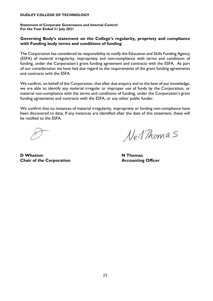**Statement of Corporate Governance and Internal Control For the Year Ended 31 July 2021**

#### **Governing Body's statement on the College's regularity, propriety and compliance with Funding body terms and conditions of funding**

The Corporation has considered its responsibility to notify the Education and Skills Funding Agency (ESFA) of material irregularity, impropriety and non-compliance with terms and conditions of funding, under the Corporation's grant funding agreement and contracts with the ESFA. As part of our consideration we have had due regard to the requirements of the grant funding agreements and contracts with the ESFA.

We confirm, on behalf of the Corporation, that after due enquiry and to the best of our knowledge, we are able to identify any material irregular or improper use of funds by the Corporation, or material non-compliance with the terms and conditions of funding, under the Corporation's grant funding agreements and contracts with the ESFA, or any other public funder.

We confirm that no instances of material irregularity, impropriety or funding non-compliance have been discovered to date. If any instances are identified after the date of this statement, these will be notified to the ESFA.

Neit Thomas

**D Whatton N Thomas Chair of the Corporation Accounting Officer**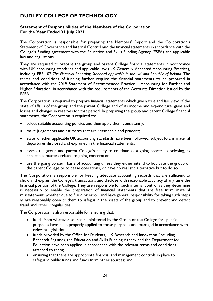### **Statement of Responsibilities of the Members of the Corporation For the Year Ended 31 July 2021**

The Corporation is responsible for preparing the Members' Report and the Corporation's Statement of Governance and Internal Control and the financial statements in accordance with the College's funding agreement with the Education and Skills Funding Agency (ESFA) and applicable law and regulations.

They are required to prepare the group and parent College financial statements in accordance with UK accounting standards and applicable law (UK Generally Accepted Accounting Practice), including FRS 102 The Financial Reporting Standard applicable in the UK and Republic of Ireland. The terms and conditions of funding further require the financial statements to be prepared in accordance with the 2019 Statement of Recommended Practice – Accounting for Further and Higher Education, in accordance with the requirements of the Accounts Direction issued by the ESFA.

The Corporation is required to prepare financial statements which give a true and fair view of the state of affairs of the group and the parent College and of its income and expenditure, gains and losses and changes in reserves for that period. In preparing the group and parent College financial statements, the Corporation is required to:

- select suitable accounting policies and then apply them consistently;
- make judgements and estimates that are reasonable and prudent;
- state whether applicable UK accounting standards have been followed, subject to any material departures disclosed and explained in the financial statements;
- assess the group and parent College's ability to continue as a going concern, disclosing, as applicable, matters related to going concern; and
- use the going concern basis of accounting unless they either intend to liquidate the group or the parent College or to cease operations, or have no realistic alternative but to do so.

The Corporation is responsible for keeping adequate accounting records that are sufficient to show and explain the College's transactions and disclose with reasonable accuracy at any time the financial position of the College. They are responsible for such internal control as they determine is necessary to enable the preparation of financial statements that are free from material misstatement, whether due to fraud or error, and have general responsibility for taking such steps as are reasonably open to them to safeguard the assets of the group and to prevent and detect fraud and other irregularities.

The Corporation is also responsible for ensuring that:

- funds from whatever source administered by the Group or the College for specific purposes have been properly applied to those purposes and managed in accordance with relevant legislation;
- funds provided by the Office for Students, UK Research and Innovation (including Research England), the Education and Skills Funding Agency and the Department for Education have been applied in accordance with the relevant terms and conditions attached to them;
- ensuring that there are appropriate financial and management controls in place to safeguard public funds and funds from other sources; and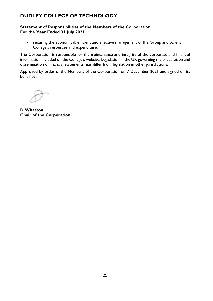### **Statement of Responsibilities of the Members of the Corporation For the Year Ended 31 July 2021**

• securing the economical, efficient and effective management of the Group and parent College's resources and expenditure.

The Corporation is responsible for the maintenance and integrity of the corporate and financial information included on the College's website. Legislation in the UK governing the preparation and dissemination of financial statements may differ from legislation in other jurisdictions.

Approved by order of the Members of the Corporation on 7 December 2021 and signed on its behalf by:

**D Whatton Chair of the Corporation**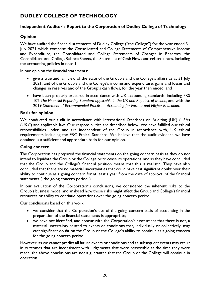### **Independent Auditor's Report to the Corporation of Dudley College of Technology**

### **Opinion**

We have audited the financial statements of Dudley College ("the College") for the year ended 31 July 2021 which comprise the Consolidated and College Statements of Comprehensive Income and Expenditure, the Consolidated and College Statements of Changes in Reserves, the Consolidated and College Balance Sheets, the Statement of Cash Flows and related notes, including the accounting policies in note 1.

In our opinion the financial statements:

- give a true and fair view of the state of the Group's and the College's affairs as at 31 July 2021, and of the Group's and the College's income and expenditure, gains and losses and changes in reserves and of the Group's cash flows, for the year then ended; and
- have been properly prepared in accordance with UK accounting standards, including FRS 102 *The Financial Reporting Standard applicable in the UK and Republic of Ireland,* and with the 2019 *Statement of Recommended Practice – Accounting for Further and Higher Education*.

#### **Basis for opinion**

We conducted our audit in accordance with International Standards on Auditing (UK) ("ISAs (UK)") and applicable law. Our responsibilities are described below. We have fulfilled our ethical responsibilities under, and are independent of the Group in accordance with, UK ethical requirements including the FRC Ethical Standard. We believe that the audit evidence we have obtained is a sufficient and appropriate basis for our opinion.

### **Going concern**

The Corporation has prepared the financial statements on the going concern basis as they do not intend to liquidate the Group or the College or to cease its operations, and as they have concluded that the Group and the College's financial position means that this is realistic. They have also concluded that there are no material uncertainties that could have cast significant doubt over their ability to continue as a going concern for at least a year from the date of approval of the financial statements ("the going concern period").

In our evaluation of the Corporation's conclusions, we considered the inherent risks to the Group's business model and analysed how those risks might affect the Group and College's financial resources or ability to continue operations over the going concern period.

Our conclusions based on this work:

- we consider that the Corporation's use of the going concern basis of accounting in the preparation of the financial statements is appropriate;
- we have not identified, and concur with the Corporation's assessment that there is not, a material uncertainty related to events or conditions that, individually or collectively, may cast significant doubt on the Group or the College's ability to continue as a going concern for the going concern period.

However, as we cannot predict all future events or conditions and as subsequent events may result in outcomes that are inconsistent with judgements that were reasonable at the time they were made, the above conclusions are not a guarantee that the Group or the College will continue in operation.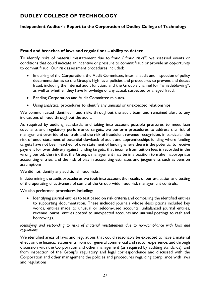# **Independent Auditor's Report to the Corporation of Dudley College of Technology**

#### **Fraud and breaches of laws and regulations – ability to detect**

To identify risks of material misstatement due to fraud ("fraud risks") we assessed events or conditions that could indicate an incentive or pressure to commit fraud or provide an opportunity to commit fraud. Our risk assessment procedures included:

- Enquiring of the Corporation, the Audit Committee, internal audit and inspection of policy documentation as to the Group's high-level policies and procedures to prevent and detect fraud, including the internal audit function, and the Group's channel for "whistleblowing", as well as whether they have knowledge of any actual, suspected or alleged fraud.
- Reading Corporation and Audit Committee minutes.
- Using analytical procedures to identify any unusual or unexpected relationships.

We communicated identified fraud risks throughout the audit team and remained alert to any indications of fraud throughout the audit.

As required by auditing standards, and taking into account possible pressures to meet loan covenants and regulatory performance targets, we perform procedures to address the risk of management override of controls and the risk of fraudulent revenue recognition, in particular the risk of understatement of potential clawback of adult and apprenticeships funding where funding targets have not been reached, of overstatement of funding where there is the potential to receive payment for over delivery against funding targets, that income from tuition fees is recorded in the wrong period, the risk that the Group's management may be in a position to make inappropriate accounting entries, and the risk of bias in accounting estimates and judgements such as pension assumptions.

We did not identify any additional fraud risks.

In determining the audit procedures we took into account the results of our evaluation and testing of the operating effectiveness of some of the Group-wide fraud risk management controls.

We also performed procedures including:

• Identifying journal entries to test based on risk criteria and comparing the identified entries to supporting documentation. These included journals whose descriptions included key words, entries made to unusual or seldom-used accounts, unbalanced journal entries, revenue journal entries posted to unexpected accounts and unusual postings to cash and borrowings.

#### *Identifying and responding to risks of material misstatement due to non-compliance with laws and regulations*

We identified areas of laws and regulations that could reasonably be expected to have a material effect on the financial statements from our general commercial and sector experience, and through discussion with the Corporation and other management (as required by auditing standards), and from inspection of the Group's regulatory and legal correspondence and discussed with the Corporation and other management the policies and procedures regarding compliance with laws and regulations.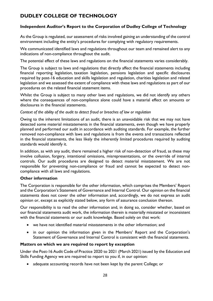# **Independent Auditor's Report to the Corporation of Dudley College of Technology**

As the Group is regulated, our assessment of risks involved gaining an understanding of the control environment including the entity's procedures for complying with regulatory requirements.

We communicated identified laws and regulations throughout our team and remained alert to any indications of non-compliance throughout the audit.

The potential effect of these laws and regulations on the financial statements varies considerably.

The Group is subject to laws and regulations that directly affect the financial statements including financial reporting legislation, taxation legislation, pensions legislation and specific disclosures required by post-16 education and skills legislation and regulation, charities legislation and related legislation and we assessed the extent of compliance with these laws and regulations as part of our procedures on the related financial statement items.

Whilst the Group is subject to many other laws and regulations, we did not identify any others where the consequences of non-compliance alone could have a material effect on amounts or disclosures in the financial statements.

*Context of the ability of the audit to detect fraud or breaches of law or regulation*

Owing to the inherent limitations of an audit, there is an unavoidable risk that we may not have detected some material misstatements in the financial statements, even though we have properly planned and performed our audit in accordance with auditing standards. For example, the further removed non-compliance with laws and regulations is from the events and transactions reflected in the financial statements, the less likely the inherently limited procedures required by auditing standards would identify it.

In addition, as with any audit, there remained a higher risk of non-detection of fraud, as these may involve collusion, forgery, intentional omissions, misrepresentations, or the override of internal controls. Our audit procedures are designed to detect material misstatement. We are not responsible for preventing non-compliance or fraud and cannot be expected to detect noncompliance with all laws and regulations.

### **Other information**

The Corporation is responsible for the other information, which comprises the Members' Report and the Corporation's Statement of Governance and Internal Control. Our opinion on the financial statements does not cover the other information and, accordingly, we do not express an audit opinion or, except as explicitly stated below, any form of assurance conclusion thereon.

Our responsibility is to read the other information and, in doing so, consider whether, based on our financial statements audit work, the information therein is materially misstated or inconsistent with the financial statements or our audit knowledge. Based solely on that work:

- we have not identified material misstatements in the other information; and
- in our opinion the information given in the Members' Report and the Corporation's Statement of Governance and Internal Control is consistent with the financial statements.

### **Matters on which we are required to report by exception**

Under the Post-16 Audit Code of Practice 2020 to 2021 (March 2021) issued by the Education and Skills Funding Agency we are required to report to you if, in our opinion:

• adequate accounting records have not been kept by the parent College; or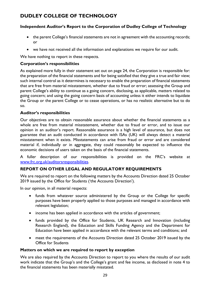# **Independent Auditor's Report to the Corporation of Dudley College of Technology**

- the parent College's financial statements are not in agreement with the accounting records; or
- we have not received all the information and explanations we require for our audit.

We have nothing to report in these respects.

### **Corporation's responsibilities**

As explained more fully in their statement set out on page 24, the Corporation is responsible for: the preparation of the financial statements and for being satisfied that they give a true and fair view; such internal control as it determines is necessary to enable the preparation of financial statements that are free from material misstatement, whether due to fraud or error; assessing the Group and parent College's ability to continue as a going concern, disclosing, as applicable, matters related to going concern; and using the going concern basis of accounting unless it either intends to liquidate the Group or the parent College or to cease operations, or has no realistic alternative but to do so.

### **Auditor's responsibilities**

Our objectives are to obtain reasonable assurance about whether the financial statements as a whole are free from material misstatement, whether due to fraud or error, and to issue our opinion in an auditor's report. Reasonable assurance is a high level of assurance, but does not guarantee that an audit conducted in accordance with ISAs (UK) will always detect a material misstatement when it exists. Misstatements can arise from fraud or error and are considered material if, individually or in aggregate, they could reasonably be expected to influence the economic decisions of users taken on the basis of the financial statements.

A fuller description of our responsibilities is provided on the FRC's website at [www.frc.org.uk/auditorsresponsibilities.](http://www.frc.org.uk/auditorsresponsibilities)

# **REPORT ON OTHER LEGAL AND REGULATORY REQUIREMENTS**

We are required to report on the following matters by the Accounts Direction dated 25 October 2019 issued by the Office for Students ('the Accounts Direction').

In our opinion, in all material respects:

- funds from whatever source administered by the Group or the College for specific purposes have been properly applied to those purposes and managed in accordance with relevant legislation;
- income has been applied in accordance with the articles of government;
- funds provided by the Office for Students, UK Research and Innovation (including Research England), the Education and Skills Funding Agency and the Department for Education have been applied in accordance with the relevant terms and conditions; and
- meet the requirements of the Accounts Direction dated 25 October 2019 issued by the Office for Students

### **Matters on which we are required to report by exception**

We are also required by the Accounts Direction to report to you where the results of our audit work indicate that the Group's and the College's grant and fee income, as disclosed in note 4 to the financial statements has been materially misstated.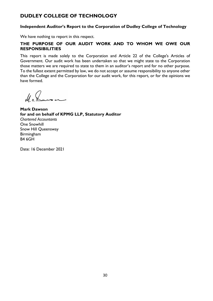### **Independent Auditor's Report to the Corporation of Dudley College of Technology**

We have nothing to report in this respect.

### **THE PURPOSE OF OUR AUDIT WORK AND TO WHOM WE OWE OUR RESPONSIBILITIES**

This report is made solely to the Corporation and Article 22 of the College's Articles of Government. Our audit work has been undertaken so that we might state to the Corporation those matters we are required to state to them in an auditor's report and for no other purpose. To the fullest extent permitted by law, we do not accept or assume responsibility to anyone other than the College and the Corporation for our audit work, for this report, or for the opinions we have formed.

 $\mathcal{N}$  s  $\mathcal{N}$ 

**Mark Dawson for and on behalf of KPMG LLP, Statutory Auditor** *Chartered Accountants* One Snowhill Snow Hill Queensway Birmingham B4 6GH

Date: 16 December 2021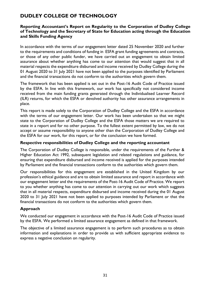### **Reporting Accountant's Report on Regularity to the Corporation of Dudley College of Technology and the Secretary of State for Education acting through the Education and Skills Funding Agency**

In accordance with the terms of our engagement letter dated 25 November 2020 and further to the requirements and conditions of funding in ESFA grant funding agreements and contracts, or those of any other public funder, we have carried out an engagement to obtain limited assurance about whether anything has come to our attention that would suggest that in all material respects the expenditure disbursed and income received by Dudley College during the 01 August 2020 to 31 July 2021 have not been applied to the purposes identified by Parliament and the financial transactions do not conform to the authorities which govern them.

The framework that has been applied is set out in the Post-16 Audit Code of Practice issued by the ESFA. In line with this framework, our work has specifically not considered income received from the main funding grants generated through the Individualised Learner Record (ILR) returns, for which the ESFA or devolved authority has other assurance arrangements in place.

This report is made solely to the Corporation of Dudley College and the ESFA in accordance with the terms of our engagement letter. Our work has been undertaken so that we might state to the Corporation of Dudley College and the ESFA those matters we are required to state in a report and for no other purpose. To the fullest extent permitted by law, we do not accept or assume responsibility to anyone other than the Corporation of Dudley College and the ESFA for our work, for this report, or for the conclusion we have formed.

### **Respective responsibilities of Dudley College and the reporting accountant**

The Corporation of Dudley College is responsible, under the requirements of the Further & Higher Education Act 1992, subsequent legislation and related regulations and guidance, for ensuring that expenditure disbursed and income received is applied for the purposes intended by Parliament and the financial transactions conform to the authorities which govern them.

Our responsibilities for this engagement are established in the United Kingdom by our profession's ethical guidance and are to obtain limited assurance and report in accordance with our engagement letter and the requirements of the Post-16 Audit Code of Practice. We report to you whether anything has come to our attention in carrying out our work which suggests that in all material respects, expenditure disbursed and income received during the 01 August 2020 to 31 July 2021 have not been applied to purposes intended by Parliament or that the financial transactions do not conform to the authorities which govern them.

### **Approach**

We conducted our engagement in accordance with the Post-16 Audit Code of Practice issued by the ESFA. We performed a limited assurance engagement as defined in that framework.

The objective of a limited assurance engagement is to perform such procedures as to obtain information and explanations in order to provide us with sufficient appropriate evidence to express a negative conclusion on regularity.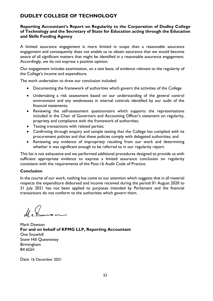### **Reporting Accountant's Report on Regularity to the Corporation of Dudley College of Technology and the Secretary of State for Education acting through the Education and Skills Funding Agency**

A limited assurance engagement is more limited in scope than a reasonable assurance engagement and consequently does not enable us to obtain assurance that we would become aware of all significant matters that might be identified in a reasonable assurance engagement. Accordingly, we do not express a positive opinion.

Our engagement includes examination, on a test basis, of evidence relevant to the regularity of the College's income and expenditure.

The work undertaken to draw our conclusion included:

- Documenting the framework of authorities which govern the activities of the College
- Undertaking a risk assessment based on our understanding of the general control environment and any weaknesses in internal controls identified by our audit of the financial statements;
- Reviewing the self-assessment questionnaire which supports the representations included in the Chair of Governors and Accounting Officer's statement on regularity, propriety and compliance with the framework of authorities;
- Testing transactions with related parties;
- Confirming through enquiry and sample testing that the College has complied with its procurement policies and that these policies comply with delegated authorities; and
- Reviewing any evidence of impropriety resulting from our work and determining whether it was significant enough to be referred to in our regularity report.

This list is not exhaustive and we performed additional procedures designed to provide us with sufficient appropriate evidence to express a limited assurance conclusion on regularity consistent with the requirements of the Post-16 Audit Code of Practice.

### **Conclusion**

In the course of our work, nothing has come to our attention which suggests that in all material respects the expenditure disbursed and income received during the period 01 August 2020 to 31 July 2021 has not been applied to purposes intended by Parliament and the financial transactions do not conform to the authorities which govern them.

Mark Dawson **For and on behalf of KPMG LLP, Reporting Accountant** One Snowhill Snow Hill Queensway Birmingham B4 6GH

Date: 16 December 2021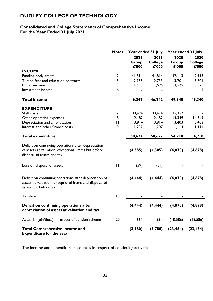# **Consolidated and College Statements of Comprehensive Income For the Year Ended 31 July 2021**

|                                                                                                                                           | <b>Notes</b> | Year ended 31 July     |                                 | Year ended 31 July     |                                 |
|-------------------------------------------------------------------------------------------------------------------------------------------|--------------|------------------------|---------------------------------|------------------------|---------------------------------|
|                                                                                                                                           |              | 2021<br>Group<br>£'000 | 2021<br><b>College</b><br>£'000 | 2020<br>Group<br>£'000 | 2020<br><b>College</b><br>£'000 |
| <b>INCOME</b>                                                                                                                             |              |                        |                                 |                        |                                 |
| Funding body grants                                                                                                                       | $\mathbf{2}$ | 41,814                 | 41,814                          | 42, 113                | 42, 113                         |
| Tuition fees and education contracts                                                                                                      | 3            | 2,733                  | 2,733                           | 3,701                  | 3,701                           |
| Other income                                                                                                                              | 5            | 1,695                  | 1,695                           | 3,525                  | 3,525                           |
| Investment income                                                                                                                         | 6            |                        |                                 |                        |                                 |
| <b>Total income</b>                                                                                                                       |              | 46,242                 | 46,242                          | 49,340                 | 49,340                          |
| <b>EXPENDITURE</b>                                                                                                                        |              |                        |                                 |                        |                                 |
| Staff costs                                                                                                                               | 7            | 33,424                 | 33,424                          | 35,352                 | 35,352                          |
| Other operating expenses                                                                                                                  | 8            | 12,182                 | 12,182                          | 14,349                 | 14,349                          |
| Depreciation and amortisation                                                                                                             | $\mathbf{H}$ | 3,814                  | 3,814                           | 3,403                  | 3,403                           |
| Interest and other finance costs                                                                                                          | 9            | 1,207                  | 1,207                           | 1,114                  | 1,114                           |
| <b>Total expenditure</b>                                                                                                                  |              | 50,627                 | 50,627                          | 54,218                 | 54,218                          |
| Deficit on continuing operations after depreciation<br>of assets at valuation, exceptional items but before<br>disposal of assets and tax |              | (4,385)                | (4,385)                         | (4, 878)               | (4, 878)                        |
| Loss on disposal of assets                                                                                                                | $\mathbf{H}$ | (59)                   | (59)                            |                        |                                 |
| Deficit on continuing operations after depreciation of<br>assets at valuation, exceptional items and disposal of<br>assets but before tax |              | (4, 444)               | (4, 444)                        | (4, 878)               | (4,878)                         |
| <b>Taxation</b>                                                                                                                           | 10           |                        |                                 |                        |                                 |
| Deficit on continuing operations after<br>depreciation of assets at valuation and tax                                                     |              | (4, 444)               | (4, 444)                        | (4,878)                | (4, 878)                        |
| Actuarial gain/(loss) in respect of pension scheme                                                                                        | 20           | 664                    | 664                             | (18, 586)              | (18, 586)                       |
| <b>Total Comprehensive Income and</b><br><b>Expenditure for the year</b>                                                                  |              | (3,780)                | (3,780)                         | (23, 464)              | (23, 464)                       |

The income and expenditure account is in respect of continuing activities.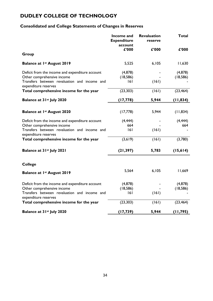# **Consolidated and College Statements of Changes in Reserves**

|                                                                               | Income and<br><b>Expenditure</b><br>account | <b>Revaluation</b><br>reserve | <b>Total</b>         |
|-------------------------------------------------------------------------------|---------------------------------------------|-------------------------------|----------------------|
| Group                                                                         | £'000                                       | £'000                         | £'000                |
|                                                                               |                                             |                               |                      |
| <b>Balance at 1st August 2019</b>                                             | 5,525                                       | 6,105                         | 11,630               |
| Deficit from the income and expenditure account<br>Other comprehensive income | (4, 878)<br>(18, 586)                       |                               | (4,878)<br>(18, 586) |
| Transfers between revaluation and income and<br>expenditure reserves          | 6                                           | (161)                         |                      |
| Total comprehensive income for the year                                       | (23, 303)                                   | (161)                         | (23, 464)            |
| Balance at 3 Ist July 2020                                                    | (17, 778)                                   | 5,944                         | (11, 834)            |
|                                                                               |                                             |                               |                      |
| <b>Balance at 1st August 2020</b>                                             | (17,778)                                    | 5,944                         | (11, 834)            |
| Deficit from the income and expenditure account                               | (4, 444)                                    |                               | (4, 444)             |
| Other comprehensive income                                                    | 664                                         |                               | 664                  |
| Transfers between revaluation and income and<br>expenditure reserves          | 6                                           | (161)                         |                      |
| Total comprehensive income for the year                                       | (3,619)                                     | (161)                         | (3,780)              |
| Balance at 31 <sup>st</sup> July 2021                                         | (21, 397)                                   | 5,783                         | (15, 614)            |
| <b>College</b>                                                                |                                             |                               |                      |
| <b>Balance at 1st August 2019</b>                                             | 5,564                                       | 6,105                         | 11,669               |
| Deficit from the income and expenditure account                               | (4, 878)                                    |                               | (4,878)              |
| Other comprehensive income                                                    | (18, 586)                                   |                               | (18, 586)            |
| Transfers between revaluation and income and<br>expenditure reserves          | 6                                           | (161)                         |                      |
| Total comprehensive income for the year                                       | (23, 303)                                   | (161)                         | (23, 464)            |
| Balance at 31 <sup>st</sup> July 2020                                         | (17, 739)                                   | 5,944                         | (11, 795)            |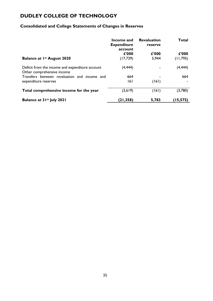# **Consolidated and College Statements of Changes in Reserves**

|                                                                               | Income and<br><b>Expenditure</b><br>account | <b>Revaluation</b><br>reserve | Total     |
|-------------------------------------------------------------------------------|---------------------------------------------|-------------------------------|-----------|
|                                                                               | £'000                                       | £'000                         | £'000     |
| <b>Balance at 1st August 2020</b>                                             | (17, 739)                                   | 5,944                         | (11, 795) |
| Deficit from the income and expenditure account<br>Other comprehensive income | (4, 444)                                    |                               | (4,444)   |
| Transfers between revaluation and income and                                  | 664                                         |                               | 664       |
| expenditure reserves                                                          | 161                                         | (161)                         |           |
| Total comprehensive income for the year                                       | (3,619)                                     | (161)                         | (3,780)   |
| Balance at 3 Ist July 2021                                                    | (21, 358)                                   | 5,783                         | (15, 575) |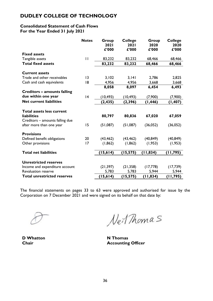### **Consolidated Statement of Cash Flows For the Year Ended 31 July 2021**

|                                                             | <b>Notes</b> | Group<br>2021<br>£'000 | <b>College</b><br>2021<br>£'000 | Group<br>2020<br>£'000 | <b>College</b><br>2020<br>£'000 |
|-------------------------------------------------------------|--------------|------------------------|---------------------------------|------------------------|---------------------------------|
| <b>Fixed assets</b>                                         |              |                        |                                 |                        |                                 |
| Tangible assets                                             | $\mathbf{H}$ | 83,232                 | 83,232                          | 68,466                 | 68,466                          |
| <b>Total fixed assets</b>                                   |              | 83,232                 | 83,232                          | 68,466                 | 68,466                          |
| <b>Current assets</b>                                       |              |                        |                                 |                        |                                 |
| Trade and other receivables                                 | 3            | 3,102                  | 3,141                           | 2,786                  | 2,825                           |
| Cash and cash equivalents                                   | 18           | 4,956                  | 4,956                           | 3,668                  | 3,668                           |
|                                                             |              | 8,058                  | 8,097                           | 6,454                  | 6,493                           |
| Creditors – amounts falling                                 |              |                        |                                 |                        |                                 |
| due within one year                                         | 4            | (10, 493)              | (10, 493)                       | (7,900)                | (7,900)                         |
| <b>Net current liabilities</b>                              |              | (2, 435)               | (2, 396)                        | (1, 446)               | (1, 407)                        |
| <b>Total assets less current</b>                            |              |                        |                                 |                        |                                 |
| <b>liabilities</b>                                          |              | 80,797                 | 80,836                          | 67,020                 | 67,059                          |
| Creditors - amounts falling due<br>after more than one year | 15           | (51,087)               | (51,087)                        | (36,052)               | (36,052)                        |
| <b>Provisions</b>                                           |              |                        |                                 |                        |                                 |
| Defined benefit obligations                                 | 20           | (43, 462)              | (43, 462)                       | (40, 849)              | (40, 849)                       |
| Other provisions                                            | 17           | (1, 862)               | (1, 862)                        | (1, 953)               | (1, 953)                        |
| <b>Total net liabilities</b>                                |              | (15, 614)              | (15, 575)                       | (11, 834)              | (11, 795)                       |
|                                                             |              |                        |                                 |                        |                                 |
| <b>Unrestricted reserves</b>                                |              |                        |                                 |                        |                                 |
| Income and expenditure account                              |              | (21, 397)              | (21, 358)                       | (17,778)               | (17, 739)                       |
| <b>Revaluation reserve</b>                                  |              | 5,783                  | 5,783                           | 5,944                  | 5,944                           |
| <b>Total unrestricted reserves</b>                          |              | (15, 614)              | (15, 575)                       | (11, 834)              | (11, 795)                       |

The financial statements on pages 33 to 63 were approved and authorised for issue by the Corporation on 7 December 2021 and were signed on its behalf on that date by:

**D Whatton N Thomas**

Neit Thomas

**Chair Accounting Officer**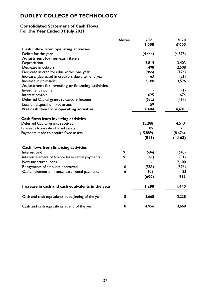# **Consolidated Statement of Cash Flows For the Year Ended 31 July 2021**

|                                                     | <b>Notes</b> | 2021<br>£'000 | 2020<br>£'000 |
|-----------------------------------------------------|--------------|---------------|---------------|
| Cash inflow from operating activities               |              |               |               |
| Deficit for the year                                |              | (4, 444)      | (4,878)       |
| <b>Adjustment for non-cash items</b>                |              |               |               |
| Depreciation                                        |              | 3,814         | 3,403         |
| Decrease in debtors                                 |              | 498           | 2,508         |
| Decrease in creditors due within one year           |              | (866)         | (124)         |
| Increase/(decrease) in creditors due after one year |              | 63            | (21)          |
| Increase in provisions                              |              | 3,188         | 3,526         |
| Adjustment for investing or financing activities    |              |               |               |
| Investment income                                   |              |               | (1)           |
| Interest payable                                    |              | 625           | 674           |
| Deferred Capital grants released in income          |              | (532)         | (417)         |
| Loss on disposal of fixed assets                    |              | 59            |               |
| Net cash flow from operating activities             |              | 2,404         | 4,670         |
| <b>Cash flows from investing activities</b>         |              |               |               |
| Deferred Capital grants received                    |              | 15,288        | 4,513         |
| Proceeds from sale of fixed assets                  |              | 85            |               |
| Payments made to acquire fixed assets               |              | (15, 889)     | (8,676)       |
|                                                     |              | (516)         | (4, 163)      |
| Cash flows from financing activities                |              |               |               |
| Interest paid                                       | 9            | (584)         | (643)         |
| Interest element of finance lease rental payments   | 9            | (41)          | (31)          |
| New unsecured loans                                 |              |               | 2,100         |
| Repayments of amounts borrowed                      | 16           | (583)         | (576)         |
| Capital element of finance lease rental payments    | 16           | 608           | 83            |
|                                                     |              | (600)         | 933           |
| Increase in cash and cash equivalents in the year   |              | 1,288         | 1,440         |
| Cash and cash equivalents at beginning of the year  | 18           | 3,668         | 2,228         |
| Cash and cash equivalents at end of the year        | 18           | 4,956         | 3,668         |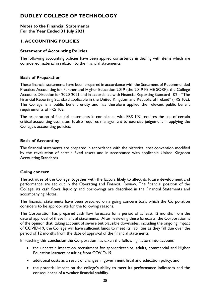#### **Notes to the Financial Statements For the Year Ended 31 July 2021**

# **1. ACCOUNTING POLICIES**

#### **Statement of Accounting Policies**

The following accounting policies have been applied consistently in dealing with items which are considered material in relation to the financial statements.

#### **Basis of Preparation**

These financial statements have been prepared in accordance with the Statement of Recommended Practice: Accounting for Further and Higher Education 2019 (the 2019 FE HE SORP), the College Accounts Direction for 2020-2021 and in accordance with Financial Reporting Standard 102 – "The Financial Reporting Standard applicable in the United Kingdom and Republic of Ireland" (FRS 102). The College is a public benefit entity and has therefore applied the relevant public benefit requirements of FRS 102.

The preparation of financial statements in compliance with FRS 102 requires the use of certain critical accounting estimates. It also requires management to exercise judgement in applying the College's accounting policies.

#### **Basis of Accounting**

The financial statements are prepared in accordance with the historical cost convention modified by the revaluation of certain fixed assets and in accordance with applicable United Kingdom Accounting Standards

#### **Going concern**

The activities of the College, together with the factors likely to affect its future development and performance are set out in the Operating and Financial Review. The financial position of the College, its cash flows, liquidity and borrowings are described in the Financial Statements and accompanying Notes.

The financial statements have been prepared on a going concern basis which the Corporation considers to be appropriate for the following reasons.

The Corporation has prepared cash flow forecasts for a period of at least 12 months from the date of approval of these financial statements. After reviewing these forecasts, the Corporation is of the opinion that, taking account of severe but plausible downsides, including the ongoing impact of COVID-19, the College will have sufficient funds to meet its liabilities as they fall due over the period of 12 months from the date of approval of the financial statements.

In reaching this conclusion the Corporation has taken the following factors into account:

- the uncertain impact on recruitment for apprenticeships, adults, commercial and Higher Education learners resulting from COVID-19;
- additional costs as a result of changes in government fiscal and education policy; and
- the potential impact on the college's ability to meet its performance indicators and the consequences of a weaker financial stability.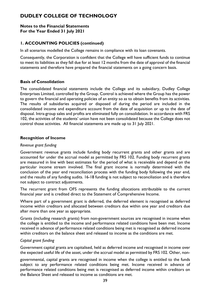#### **Notes to the Financial Statements For the Year Ended 31 July 2021**

# **1. ACCOUNTING POLICIES (continued)**

In all scenarios modelled the College remains in compliance with its loan covenants.

Consequently, the Corporation is confident that the College will have sufficient funds to continue to meet its liabilities as they fall due for at least 12 months from the date of approval of the financial statements and therefore have prepared the financial statements on a going concern basis.

### **Basis of Consolidation**

The consolidated financial statements include the College and its subsidiary, Dudley College Enterprises Limited, controlled by the Group. Control is achieved where the Group has the power to govern the financial and operating policies of an entity so as to obtain benefits from its activities. The results of subsidiaries acquired or disposed of during the period are included in the consolidated income and expenditure account from the date of acquisition or up to the date of disposal. Intra-group sales and profits are eliminated fully on consolidation. In accordance with FRS 102, the activities of the students' union have not been consolidated because the College does not control those activities. All financial statements are made up to 31 July 2021.

#### **Recognition of Income**

#### *Revenue grant funding*

Government revenue grants include funding body recurrent grants and other grants and are accounted for under the accrual model as permitted by FRS 102. Funding body recurrent grants are measured in line with best estimates for the period of what is receivable and depend on the particular income stream involved. The final grant income is normally determined with the conclusion of the year end reconciliation process with the funding body following the year end, and the results of any funding audits. 16-18 funding is not subject to reconciliation and is therefore not subject to contract adjustments.

The recurrent grant from OFS represents the funding allocations attributable to the current financial year and is credited direct to the Statement of Comprehensive Income.

Where part of a government grant is deferred, the deferred element is recognised as deferred income within creditors and allocated between creditors due within one year and creditors due after more than one year as appropriate.

Grants (including research grants) from non-government sources are recognised in income when the college is entitled to the income and performance related conditions have been met. Income received in advance of performance related conditions being met is recognised as deferred income within creditors on the balance sheet and released to income as the conditions are met.

#### *Capital grant funding*

Government capital grants are capitalised, held as deferred income and recognised in income over the expected useful life of the asset, under the accrual model as permitted by FRS 102. Other, non-

governmental, capital grants are recognised in income when the college is entitled to the funds subject to any performance related conditions being met. Income received in advance of performance related conditions being met is recognised as deferred income within creditors on the Balance Sheet and released to income as conditions are met.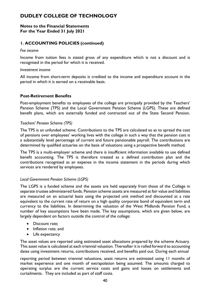#### **Notes to the Financial Statements For the Year Ended 31 July 2021**

# **1. ACCOUNTING POLICIES (continued)**

#### *Fee income*

Income from tuition fees is stated gross of any expenditure which is not a discount and is recognised in the period for which it is received.

#### *Investment income*

All income from short-term deposits is credited to the income and expenditure account in the period in which it is earned on a receivable basis.

#### **Post-Retirement Benefits**

Post-employment benefits to employees of the college are principally provided by the Teachers' Pension Scheme (TPS) and the Local Government Pension Scheme (LGPS). These are defined benefit plans, which are externally funded and contracted out of the State Second Pension.

#### *Teachers' Pension Scheme (TPS)*

The TPS is an unfunded scheme. Contributions to the TPS are calculated so as to spread the cost of pensions over employees' working lives with the college in such a way that the pension cost is a substantially level percentage of current and future pensionable payroll. The contributions are determined by qualified actuaries on the basis of valuations using a prospective benefit method.

The TPS is a multi-employer scheme and there is insufficient information available to use defined benefit accounting. The TPS is therefore treated as a defined contribution plan and the contributions recognised as an expense in the income statement in the periods during which services are rendered by employees.

### *Local Government Pension Scheme (LGPS)*

The LGPS is a funded scheme and the assets are held separately from those of the College in separate trustee administered funds. Pension scheme assets are measured at fair value and liabilities are measured on an actuarial basis using the projected unit method and discounted at a rate equivalent to the current rate of return on a high quality corporate bond of equivalent term and currency to the liabilities. In determining the valuation of the West Midlands Pension Fund, a number of key assumptions have been made. The key assumptions, which are given below, are largely dependent on factors outside the control of the college:

- Discount rate:
- Inflation rate; and
- Life expectancy

The asset values are reported using estimated asset allocations prepared by the scheme Actuary. This asset value is calculated at each triennial valuation. Thereafter it is rolled forward to accounting dates using investment returns, contributions received, and benefits paid out. During each annual

reporting period between triennial valuations, asset returns are estimated using 11 months of market experience and one month of extrapolation being assumed. The amounts charged to operating surplus are the current service costs and gains and losses on settlements and curtailments. They are included as part of staff costs.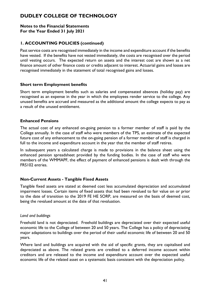#### **Notes to the Financial Statements For the Year Ended 31 July 2021**

# **1. ACCOUNTING POLICIES (continued)**

Past service costs are recognised immediately in the income and expenditure account if the benefits have vested. If the benefits have not vested immediately, the costs are recognised over the period until vesting occurs. The expected return on assets and the interest cost are shown as a net finance amount of other finance costs or credits adjacent to interest. Actuarial gains and losses are recognised immediately in the statement of total recognised gains and losses.

#### **Short term Employment benefits**

Short term employment benefits such as salaries and compensated absences (holiday pay) are recognised as an expense in the year in which the employees render service to the college. Any unused benefits are accrued and measured as the additional amount the college expects to pay as a result of the unused entitlement.

### **Enhanced Pensions**

The actual cost of any enhanced on-going pension to a former member of staff is paid by the College annually. In the case of staff who were members of the TPS, an estimate of the expected future cost of any enhancement to the on-going pension of a former member of staff is charged in full to the income and expenditure account in the year that the member of staff retires.

In subsequent years a calculated charge is made to provisions in the balance sheet using the enhanced pension spreadsheet provided by the funding bodies. In the case of staff who were members of the WMMAPF, the effect of payment of enhanced pensions is dealt with through the FRS102 entries.

### **Non-Current Assets - Tangible Fixed Assets**

Tangible fixed assets are stated at deemed cost less accumulated depreciation and accumulated impairment losses. Certain items of fixed assets that had been revalued to fair value on or prior to the date of transition to the 2019 FE HE SORP, are measured on the basis of deemed cost, being the revalued amount at the date of that revaluation.

#### *Land and buildings*

Freehold land is not depreciated. Freehold buildings are depreciated over their expected useful economic life to the College of between 20 and 50 years. The College has a policy of depreciating major adaptations to buildings over the period of their useful economic life of between 20 and 50 years.

Where land and buildings are acquired with the aid of specific grants, they are capitalised and depreciated as above. The related grants are credited to a deferred income account within creditors and are released to the income and expenditure account over the expected useful economic life of the related asset on a systematic basis consistent with the depreciation policy.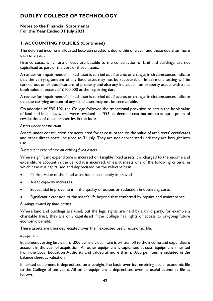#### **Notes to the Financial Statements For the Year Ended 31 July 2021**

# **1. ACCOUNTING POLICIES (Continued)**

The deferred income is allocated between creditors due within one year and those due after more than one year.

Finance costs, which are directly attributable to the construction of land and buildings, are not capitalised as part of the cost of those assets.

A review for impairment of a fixed asset is carried out if events or changes in circumstances indicate that the carrying amount of any fixed asset may not be recoverable. Impairment testing will be carried out on all classifications of property and also any individual non-property assets with a net book value in excess of £100,000 at the reporting date.

A review for impairment of a fixed asset is carried out if events or changes in circumstances indicate that the carrying amount of any fixed asset may not be recoverable.

On adoption of FRS 102, the College followed the transitional provision to retain the book value of land and buildings, which were revalued in 1996, as deemed cost but not to adopt a policy of revaluations of these properties in the future.

#### *Assets under construction*

Assets under construction are accounted for at cost, based on the value of architects' certificates and other direct costs, incurred to 31 July. They are not depreciated until they are brought into use.

#### *Subsequent expenditure on existing fixed assets*

Where significant expenditure is incurred on tangible fixed assets it is charged to the income and expenditure account in the period it is incurred, unless it meets one of the following criteria, in which case it is capitalised and depreciated on the relevant basis:

- Market value of the fixed asset has subsequently improved.
- Asset capacity increases.
- Substantial improvement in the quality of output or reduction in operating costs.
- Significant extension of the asset's life beyond that conferred by repairs and maintenance.

#### *Buildings owned by third parties*

Where land and buildings are used, but the legal rights are held by a third party, for example a charitable trust, they are only capitalised if the College has rights or access to on-going future economic benefit.

These assets are then depreciated over their expected useful economic life.

#### *Equipment*

Equipment costing less than  $\mathcal{L}1,000$  per individual item is written off to the income and expenditure account in the year of acquisition. All other equipment is capitalised at cost. Equipment inherited from the Local Education Authority and valued at more than  $£1,000$  per item is included in the balance sheet at valuation.

Inherited equipment is depreciated on a straight line basis over its remaining useful economic life to the College of ten years. All other equipment is depreciated over its useful economic life as follows: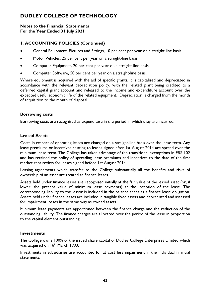#### **Notes to the Financial Statements For the Year Ended 31 July 2021**

# **1. ACCOUNTING POLICIES (Continued)**

- General Equipment, Fixtures and Fittings, 10 per cent per year on a straight line basis.
- Motor Vehicles, 25 per cent per year on a straight-line basis.
- Computer Equipment, 20 per cent per year on a straight-line basis.
- Computer Software, 50 per cent per year on a straight-line basis.

Where equipment is acquired with the aid of specific grants, it is capitalised and depreciated in accordance with the relevant depreciation policy, with the related grant being credited to a deferred capital grant account and released to the income and expenditure account over the expected useful economic life of the related equipment. Depreciation is charged from the month of acquisition to the month of disposal.

#### **Borrowing costs**

Borrowing costs are recognised as expenditure in the period in which they are incurred.

#### **Leased Assets**

Costs in respect of operating leases are charged on a straight-line basis over the lease term. Any lease premiums or incentives relating to leases signed after 1st August 2014 are spread over the minimum lease term. The College has taken advantage of the transitional exemptions in FRS 102 and has retained the policy of spreading lease premiums and incentives to the date of the first market rent review for leases signed before 1st August 2014.

Leasing agreements which transfer to the College substantially all the benefits and risks of ownership of an asset are treated as finance leases.

Assets held under finance leases are recognised initially at the fair value of the leased asset (or, if lower, the present value of minimum lease payments) at the inception of the lease. The corresponding liability to the lessor is included in the balance sheet as a finance lease obligation. Assets held under finance leases are included in tangible fixed assets and depreciated and assessed for impairment losses in the same way as owned assets.

Minimum lease payments are apportioned between the finance charge and the reduction of the outstanding liability. The finance charges are allocated over the period of the lease in proportion to the capital element outstanding.

#### **Investments**

The College owns 100% of the issued share capital of Dudley College Enterprises Limited which was acquired on 16<sup>th</sup> March 1993.

Investments in subsidiaries are accounted for at cost less impairment in the individual financial statements.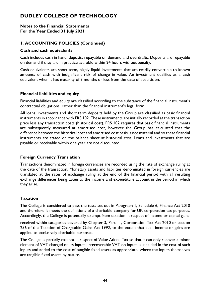#### **Notes to the Financial Statements For the Year Ended 31 July 2021**

# **1. ACCOUNTING POLICIES (Continued)**

### **Cash and cash equivalents**

Cash includes cash in hand, deposits repayable on demand and overdrafts. Deposits are repayable on demand if they are in practice available within 24 hours without penalty.

Cash equivalents are short term, highly liquid investments that are readily convertible to known amounts of cash with insignificant risk of change in value. An investment qualifies as a cash equivalent when it has maturity of 3 months or less from the date of acquisition.

### **Financial liabilities and equity**

Financial liabilities and equity are classified according to the substance of the financial instrument's contractual obligations, rather than the financial instrument's legal form.

All loans, investments and short term deposits held by the Group are classified as basic financial instruments in accordance with FRS 102. These instruments are initially recorded at the transaction price less any transaction costs (historical cost). FRS 102 requires that basic financial instruments are subsequently measured at amortised cost, however the Group has calculated that the difference between the historical cost and amortised cost basis is not material and so these financial instruments are stated on the balance sheet at historical cost. Loans and investments that are payable or receivable within one year are not discounted.

# **Foreign Currency Translation**

Transactions denominated in foreign currencies are recorded using the rate of exchange ruling at the date of the transaction. Monetary assets and liabilities denominated in foreign currencies are translated at the rates of exchange ruling at the end of the financial period with all resulting exchange differences being taken to the income and expenditure account in the period in which they arise.

# **Taxation**

The College is considered to pass the tests set out in Paragraph 1, Schedule 6, Finance Act 2010 and therefore it meets the definitions of a charitable company for UK corporation tax purposes. Accordingly, the College is potentially exempt from taxation in respect of income or capital gains

received within categories covered by Chapter 3, Part 11, Corporation Tax Act 2010 or section 256 of the Taxation of Chargeable Gains Act 1992, to the extent that such income or gains are applied to exclusively charitable purposes.

The College is partially exempt in respect of Value Added Tax so that it can only recover a minor element of VAT charged on its inputs. Irrecoverable VAT on inputs is included in the cost of such inputs and added to the cost of tangible fixed assets as appropriate, where the inputs themselves are tangible fixed assets by nature.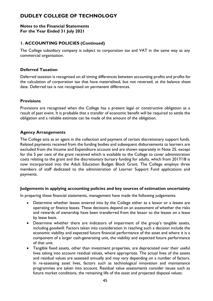#### **Notes to the Financial Statements For the Year Ended 31 July 2021**

# **1. ACCOUNTING POLICIES (Continued)**

The College subsidiary company is subject to corporation tax and VAT in the same way as any commercial organisation.

#### **Deferred Taxation**

Deferred taxation is recognised on all timing differences between accounting profits and profits for the calculation of corporation tax that have materialised, but not reversed, at the balance sheet date. Deferred tax is not recognised on permanent differences.

#### **Provisions**

Provisions are recognised when the College has a present legal or constructive obligation as a result of past event. It is probable that a transfer of economic benefit will be required to settle the obligation and a reliable estimate can be made of the amount of the obligation.

#### **Agency Arrangements**

The College acts as an agent in the collection and payment of certain discretionary support funds. Related payments received from the funding bodies and subsequent disbursements to learners are excluded from the Income and Expenditure account and are shown separately in Note 25, except for the 5 per cent of the grant received which is available to the College to cover administration costs relating to the grant and the discretionary bursary funding for adults, which from 2017/18 is now incorporated into the Adult Education Budget Block Grant. The College employs three members of staff dedicated to the administration of Learner Support Fund applications and payments.

#### **Judgements in applying accounting policies and key sources of estimation uncertainty**

In preparing these financial statements, management have made the following judgements:

- Determine whether leases entered into by the College either as a lessor or a lessee are operating or finance leases. These decisions depend on an assessment of whether the risks and rewards of ownership have been transferred from the lessor to the lessee on a lease by lease basis.
- Determine whether there are indicators of impairment of the group's tangible assets, including goodwill. Factors taken into consideration in reaching such a decision include the economic viability and expected future financial performance of the asset and where it is a component of a larger cash-generating unit, the viability and expected future performance of that unit.
- Tangible fixed assets, other than investment properties, are depreciated over their useful lives taking into account residual values, where appropriate. The actual lives of the assets and residual values are assessed annually and may vary depending on a number of factors. In re-assessing asset lives, factors such as technological innovation and maintenance programmes are taken into account. Residual value assessments consider issues such as future market conditions, the remaining life of the asset and projected disposal values.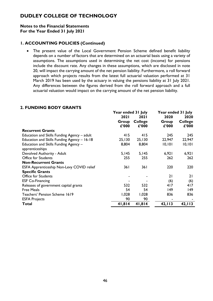#### **Notes to the Financial Statements For the Year Ended 31 July 2021**

### **1. ACCOUNTING POLICIES (Continued)**

• The present value of the Local Government Pension Scheme defined benefit liability depends on a number of factors that are determined on an actuarial basis using a variety of assumptions. The assumptions used in determining the net cost (income) for pensions include the discount rate. Any changes in these assumptions, which are disclosed in note 20, will impact the carrying amount of the net pension liability. Furthermore, a roll forward approach which projects results from the latest full actuarial valuation performed at 31 March 2019 has been used by the actuary in valuing the pensions liability at 31 July 2021. Any differences between the figures derived from the roll forward approach and a full actuarial valuation would impact on the carrying amount of the net pension liability.

|                                             | Year ended 31 July |                | Year ended 31 July |                |
|---------------------------------------------|--------------------|----------------|--------------------|----------------|
|                                             | <b>2021</b>        | 2021           | 2020               | 2020           |
|                                             | Group              | <b>College</b> | Group              | <b>College</b> |
|                                             | £'000              | £'000          | £'000              | £'000          |
| <b>Recurrent Grants</b>                     |                    |                |                    |                |
| Education and Skills Funding Agency - adult | 415                | 415            | 245                | 245            |
| Education and Skills Funding Agency - 16-18 | 25,130             | 25,130         | 22,947             | 22,947         |
| Education and Skills Funding Agency -       | 8,804              | 8,804          | 10, 101            | 10, 101        |
| apprenticeships                             |                    |                |                    |                |
| Devolved Authority - Adult                  | 5,145              | 5,145          | 6,921              | 6,921          |
| Office for Students                         | 255                | 255            | 262                | 262            |
| <b>Non-Recurrent Grants</b>                 |                    |                |                    |                |
| ESFA Apprenticeship Non-Levy COVID relief   | 361                | 361            | 220                | 220            |
| <b>Specific Grants</b>                      |                    |                |                    |                |
| <b>Office for Students</b>                  |                    |                | 21                 | 21             |
| <b>ESF Co-Financing</b>                     |                    |                | (6)                | (6)            |
| Releases of government capital grants       | 532                | 532            | 417                | 417            |
| <b>Free Meals</b>                           | 54                 | 54             | 149                | 149            |
| Teachers' Pension Scheme 1619               | 1,028              | 1,028          | 836                | 836            |
| <b>ESFA Projects</b>                        | 90                 | 90             |                    |                |
| Total                                       | 41,814             | 41,814         | 42, 113            | 42, 113        |

#### **2. FUNDING BODY GRANTS**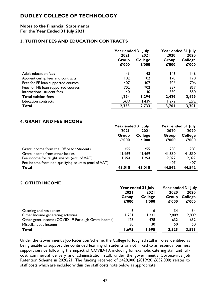#### **Notes to the Financial Statements For the Year Ended 31 July 2021**

### **3. TUITION FEES AND EDUCATION CONTRACTS**

|                                    | Year ended 31 July |                | Year ended 31 July |                |
|------------------------------------|--------------------|----------------|--------------------|----------------|
|                                    | <b>2021</b>        | <b>2021</b>    | 2020               | 2020           |
|                                    | Group              | <b>College</b> | Group              | <b>College</b> |
|                                    | £'000              | £'000          | £'000              | £'000          |
| Adult education fees               | 43                 | 43             | 146                | 146            |
| Apprenticeship fees and contracts  | 102                | 102            | 170                | 170            |
| Fees for FE loan supported courses | 407                | 407            | 706                | 706            |
| Fees for HE loan supported courses | 702                | 702            | 857                | 857            |
| International student fees         | 40                 | 40             | 550                | 550            |
| <b>Total tuition fees</b>          | 1,294              | 1,294          | 2,429              | 2,429          |
| <b>Education contracts</b>         | 1,439              | 1,439          | 1,272              | 1,272          |
| Total                              | 2,733              | 2,733          | 3,701              | 3,701          |

# **4. GRANT AND FEE INCOME**

|                                                      | Year ended 31 July |                | Year ended 31 July |                |
|------------------------------------------------------|--------------------|----------------|--------------------|----------------|
|                                                      | <b>2021</b>        | <b>2021</b>    | 2020               | 2020           |
|                                                      | Group              | <b>College</b> | Group              | <b>College</b> |
|                                                      | £'000              | £'000          | £'000              | £'000          |
| Grant income from the Office for Students            | 255                | 255            | 283                | 283            |
| Grant income from other bodies                       | 41,469             | 41,469         | 41,830             | 41,830         |
| Fee income for taught awards (excl of VAT)           | 1,294              | 1,294          | 2,022              | 2,022          |
| Fee income from non-qualifying courses (excl of VAT) |                    |                | 407                | 407            |
| Total                                                | 43,018             | 43,018         | 44,542             | 44,542         |

# **5. OTHER INCOME**

|                                                     | Year ended 31 July |                         |                | Year ended 31 July      |
|-----------------------------------------------------|--------------------|-------------------------|----------------|-------------------------|
|                                                     | <b>2021</b>        | <b>2021</b>             | 2020           | 2020                    |
|                                                     | Group<br>£'000     | <b>College</b><br>£'000 | Group<br>£'000 | <b>College</b><br>£'000 |
| Catering and residences                             | 6                  | 6                       | 34             | 34                      |
| Other Income generating activities                  | 1,231              | 1,231                   | 2,809          | 2,809                   |
| Other grant income (COVID-19 Furlough Grant income) | 428                | 428                     | 632            | 632                     |
| Miscellaneous income                                | 30                 | 30                      | 50             | 50                      |
| Total                                               | 1,695              | 1,695                   | 3,525          | 3,525                   |

Under the Government's Job Retention Scheme, the College furloughed staff in roles identified as being unable to support the continued learning of students or not linked to an essential business support service following the impact of COVID-19, including for example: catering staff and fullcost commercial delivery and administration staff, under the government's Coronavirus Job Retention Scheme in 2020/21. The funding received of £428,000 (2019/20 £632,000) relates to staff costs which are included within the staff costs note below as appropriate.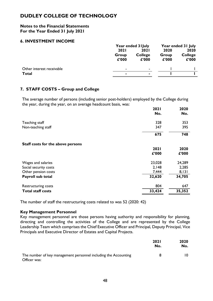#### **Notes to the Financial Statements For the Year Ended 31 July 2021**

### **6. INVESTMENT INCOME**

|                           | Year ended 3 I July |                         | Year ended 31 July |                         |
|---------------------------|---------------------|-------------------------|--------------------|-------------------------|
|                           | <b>2021</b>         | <b>2021</b>             | 2020               | 2020                    |
|                           | Group<br>£'000      | <b>College</b><br>£'000 | Group<br>£'000     | <b>College</b><br>£'000 |
| Other interest receivable | $\sim$              | $\sim$                  |                    |                         |
| Total                     | ٠                   |                         |                    |                         |
|                           |                     |                         |                    |                         |

### **7. STAFF COSTS – Group and College**

The average number of persons (including senior post-holders) employed by the College during the year, during the year, on an average headcount basis, was:

|                                   | 2021        | 2020   |
|-----------------------------------|-------------|--------|
|                                   | No.         | No.    |
| Teaching staff                    | 328         | 353    |
| Non-teaching staff                | 347         | 395    |
|                                   | 675         | 748    |
| Staff costs for the above persons |             |        |
|                                   | <b>2021</b> | 2020   |
|                                   | £'000       | £'000  |
| Wages and salaries                | 23,028      | 24,289 |
| Social security costs             | 2,148       | 2,285  |
| Other pension costs               | 7,444       | 8,131  |
| Payroll sub total                 | 32,620      | 34,705 |
| Restructuring costs               | 804         | 647    |
| <b>Total staff costs</b>          | 33,424      | 35,352 |

The number of staff the restructuring costs related to was 52 (2020: 42)

#### **Key Management Personnel**

Key management personnel are those persons having authority and responsibility for planning, directing and controlling the activities of the College and are represented by the College Leadership Team which comprises the Chief Executive Officer and Principal, Deputy Principal, Vice Principals and Executive Director of Estates and Capital Projects.

|                                                                                 | 202 I<br>No. | 2020<br>No. |
|---------------------------------------------------------------------------------|--------------|-------------|
| The number of key management personnel including the Accounting<br>Officer was: | 8            | 10.         |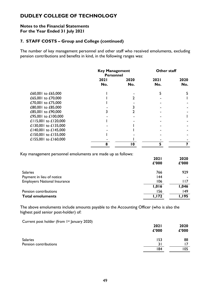#### **Notes to the Financial Statements For the Year Ended 31 July 2021**

### **7. STAFF COSTS – Group and College (continued)**

The number of key management personnel and other staff who received emoluments, excluding pension contributions and benefits in kind, in the following ranges was:

|                      | <b>Key Management</b><br><b>Personnel</b> |             | Other staff        |             |
|----------------------|-------------------------------------------|-------------|--------------------|-------------|
|                      | <b>2021</b><br>No.                        | 2020<br>No. | <b>2021</b><br>No. | 2020<br>No. |
| £60,001 to £65,000   |                                           |             |                    |             |
| £65,001 to £70,000   |                                           |             |                    |             |
| £70,001 to £75,000   |                                           |             |                    |             |
| £80,001 to £85,000   |                                           |             |                    |             |
| £85,001 to £90,000   |                                           |             |                    |             |
| £95,001 to £100,000  |                                           |             |                    |             |
| £115,001 to £120,000 |                                           |             |                    |             |
| £130,001 to £135,000 |                                           |             |                    |             |
| £140,001 to £145,000 |                                           |             |                    |             |
| £150,001 to £155,000 |                                           |             |                    |             |
| £155,001 to £160,000 |                                           |             |                    |             |
|                      | 8                                         | 10          | 5                  |             |

Key management personnel emoluments are made up as follows:

|                                     | <b>2021</b><br>£'000 | 2020<br>£'000 |
|-------------------------------------|----------------------|---------------|
| <b>Salaries</b>                     | 766                  | 929           |
| Payment in lieu of notice           | 144                  |               |
| <b>Employers National Insurance</b> | 106                  | l I 7         |
|                                     | 1,016                | 1,046         |
| Pension contributions               | 156                  | 149           |
| <b>Total emoluments</b>             | 1,172                | <b>I, 195</b> |

The above emoluments include amounts payable to the Accounting Officer (who is also the highest paid senior post-holder) of:

Current post holder (from 1st January 2020)

|                       | 2021<br>£'000 | 2020<br>£'000 |
|-----------------------|---------------|---------------|
| <b>Salaries</b>       | 153           | 88            |
| Pension contributions | 31            | 17            |
|                       | 184           | 105           |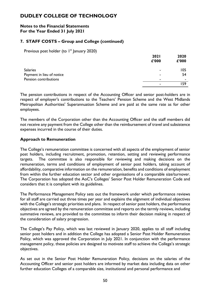#### **Notes to the Financial Statements For the Year Ended 31 July 2021**

# **7. STAFF COSTS – Group and College (continued)**

Previous post holder (to 1<sup>st</sup> January 2020)

|                           | 2021  | 2020  |
|---------------------------|-------|-------|
|                           | £'000 | £'000 |
| <b>Salaries</b>           | ۰     | 105   |
| Payment in lieu of notice |       | 54    |
| Pension contributions     |       | ۰     |
|                           | ۰     | .59   |

The pension contributions in respect of the Accounting Officer and senior post-holders are in respect of employer's contributions to the Teachers' Pension Scheme and the West Midlands Metropolitan Authorities' Superannuation Scheme and are paid at the same rate as for other employees.

The members of the Corporation other than the Accounting Officer and the staff members did not receive any payment from the College other than the reimbursement of travel and subsistence expenses incurred in the course of their duties.

### **Approach to Remuneration**

The College's remuneration committee is concerned with all aspects of the employment of senior post holders, including recruitment, promotion, retention, setting and reviewing performance targets. The committee is also responsible for reviewing and making decisions on the remuneration, terms and conditions of employment of senior post holders, taking account of affordability, comparative information on the remuneration, benefits and conditions of employment from within the further education sector and other organisations of a comparable size/turnover. The Corporation has adopted the AoC's Colleges' Senior Post Holder Remuneration Code and considers that it is compliant with its guidelines.

The Performance Management Policy sets out the framework under which performance reviews for all staff are carried out three times per year and explains the alignment of individual objectives with the College's strategic priorities and plans. In respect of senior post holders, the performance objectives are agreed by the remuneration committee and reports on the termly reviews, including summative reviews, are provided to the committee to inform their decision making in respect of the consideration of salary progression.

The College's Pay Policy, which was last reviewed in January 2020, applies to all staff including senior post holders and in addition the College has adopted a Senior Post Holder Remuneration Policy, which was approved the Corporation in July 2021. In conjunction with the performance management policy, these policies are designed to motivate staff to achieve the College's strategic objectives.

As set out in the Senior Post Holder Remuneration Policy, decisions on the salaries of the Accounting Officer and senior post holders are informed by market data including data on other further education Colleges of a comparable size, institutional and personal performance and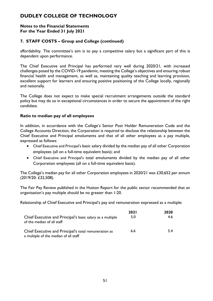#### **Notes to the Financial Statements For the Year Ended 31 July 2021**

# **7. STAFF COSTS – Group and College (continued)**

affordability. The committee's aim is to pay a competitive salary but a significant part of this is dependent upon performance.

The Chief Executive and Principal has performed very well during 2020/21, with increased challenges posed by the COVID-19 pandemic, meeting the College's objectives and ensuring robust financial health and management, as well as, maintaining quality teaching and learning provision, excellent support for learners and ensuring positive positioning of the College locally, regionally and nationally.

The College does not expect to make special recruitment arrangements outside the standard policy but may do so in exceptional circumstances in order to secure the appointment of the right candidate.

### **Ratio to median pay of all employees**

In addition, in accordance with the College's Senior Post Holder Remuneration Code and the College Accounts Direction, the Corporation is required to disclose the relationship between the Chief Executive and Principal emoluments and that of all other employees as a pay multiple, expressed as follows:

- Chief Executive and Principal's basic salary divided by the median pay of all other Corporation employees (all on a full-time equivalent basis); and
- Chief Executive and Principal's total emoluments divided by the median pay of all other Corporation employees (all on a full-time equivalent basis).

The College's median pay for all other Corporation employees in 2020/21 was £30,652 per annum (2019/20: £32,508).

The Fair Pay Review published in the Hutton Report for the public sector recommended that an organisation's pay multiple should be no greater than 1:20.

Relationship of Chief Executive and Principal's pay and remuneration expressed as a multiple:

|                                                                                                | <b>2021</b> | 2020 |
|------------------------------------------------------------------------------------------------|-------------|------|
| Chief Executive and Principal's basic salary as a multiple<br>of the median of all staff       | 5.0         | 4.6  |
| Chief Executive and Principal's total remuneration as<br>a multiple of the median of all staff | 6.6         | 5.4  |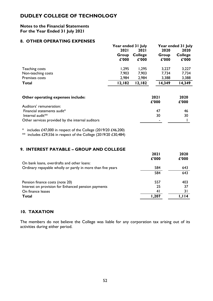#### **Notes to the Financial Statements For the Year Ended 31 July 2021**

### **8. OTHER OPERATING EXPENSES**

| . .                | Year ended 31 July            |                                        | Year ended 31 July     |                                 |  |
|--------------------|-------------------------------|----------------------------------------|------------------------|---------------------------------|--|
|                    | <b>2021</b><br>Group<br>£'000 | <b>2021</b><br><b>College</b><br>£'000 | 2020<br>Group<br>£'000 | 2020<br><b>College</b><br>£'000 |  |
| Teaching costs     | 1,295                         | 1,295                                  | 3,227                  | 3,227                           |  |
| Non-teaching costs | 7,903                         | 7,903                                  | 7,734                  | 7,734                           |  |
| Premises costs     | 2,984                         | 2,984                                  | 3,388                  | 3,388                           |  |
| <b>Total</b>       | 12,182                        | 12,182                                 | 14,349                 | 14,349                          |  |

| Other operating expenses include:                | <b>2021</b><br>f'000 | 2020<br>£'000 |
|--------------------------------------------------|----------------------|---------------|
| Auditors' remuneration:                          |                      |               |
| Financial statements audit*                      | -47                  | 46            |
| Internal audit <sup>**</sup>                     | 30                   | 30            |
| Other services provided by the internal auditors |                      |               |

\* includes £47,000 in respect of the College (2019/20 £46,200)

 $**$  includes £29,556 in respect of the College (2019/20 £30,484)

### **9. INTEREST PAYABLE – GROUP AND COLLEGE**

|                                                             | <b>2021</b><br>£'000 | 2020<br>£'000 |
|-------------------------------------------------------------|----------------------|---------------|
| On bank loans, overdrafts and other loans:                  |                      |               |
| Ordinary repayable wholly or partly in more than five years | 584                  | 643           |
|                                                             | 584                  | 643           |
| Pension finance costs (note 20)                             | 557                  | 403           |
| Interest on provision for Enhanced pension payments         | 25                   | 37            |
| On finance leases                                           | 41                   | 31            |
| <b>Total</b>                                                | 207. ا               | I.II4         |

# **10. TAXATION**

The members do not believe the College was liable for any corporation tax arising out of its activities during either period.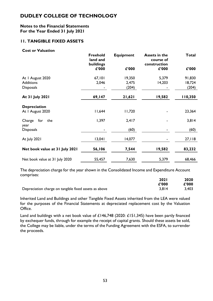#### **Notes to the Financial Statements For the Year Ended 31 July 2021**

# **11. TANGIBLE FIXED ASSETS**

#### **Cost or Valuation**

|                                | <b>Freehold</b><br>land and<br>buildings | <b>Equipment</b> | <b>Assets in the</b><br>course of<br>construction | <b>Total</b> |
|--------------------------------|------------------------------------------|------------------|---------------------------------------------------|--------------|
|                                | £'000                                    | £'000            | £'000                                             | £'000        |
| At I August 2020               | 67,101                                   | 19,350           | 5,379                                             | 91,830       |
| <b>Additions</b>               | 2,046                                    | 2,475            | 14,203                                            | 18,724       |
| <b>Disposals</b>               |                                          | (204)            |                                                   | (204)        |
| At 31 July 2021                | 69,147                                   | 21,621           | 19,582                                            | 110,350      |
| <b>Depreciation</b>            |                                          |                  |                                                   |              |
| At I August 2020               | 11,644                                   | 11,720           |                                                   | 23,364       |
| Charge<br>for<br>the<br>year   | 1,397                                    | 2,417            |                                                   | 3,814        |
| <b>Disposals</b>               |                                          | (60)             |                                                   | (60)         |
| At July 2021                   | 13,041                                   | 14,077           |                                                   | 27,118       |
| Net book value at 31 July 2021 | 56,106                                   | 7,544            | 19,582                                            | 83,232       |
| Net book value at 31 July 2020 | 55,457                                   | 7,630            | 5,379                                             | 68,466       |

The depreciation charge for the year shown in the Consolidated Income and Expenditure Account comprises:

|                                                       | <b>2021</b> | 2020  |
|-------------------------------------------------------|-------------|-------|
|                                                       | £'000       | £'000 |
| Depreciation charge on tangible fixed assets as above | 3.814       | 3,403 |

Inherited Land and Buildings and other Tangible Fixed Assets inherited from the LEA were valued for the purposes of the Financial Statements at depreciated replacement cost by the Valuation Office.

Land and buildings with a net book value of £146,748 (2020: £151,345) have been partly financed by exchequer funds, through for example the receipt of capital grants. Should these assets be sold, the College may be liable, under the terms of the Funding Agreement with the ESFA, to surrender the proceeds.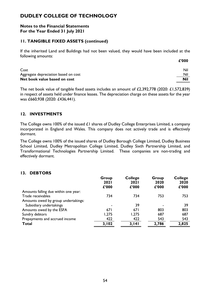#### **Notes to the Financial Statements For the Year Ended 31 July 2021**

### **11. TANGIBLE FIXED ASSETS (continued)**

If the inherited Land and Buildings had not been valued, they would have been included at the following amounts: **£'000**

| Cost                                 | Nil        |
|--------------------------------------|------------|
| Aggregate depreciation based on cost | Nil        |
| Net book value based on cost         | <b>Nil</b> |

The net book value of tangible fixed assets includes an amount of £2,392,778 (2020: £1,572,839) in respect of assets held under finance leases. The depreciation charge on these assets for the year was £660,938 (2020: £436,441).

### **12. INVESTMENTS**

The College owns 100% of the issued £1 shares of Dudley College Enterprises Limited, a company incorporated in England and Wales. This company does not actively trade and is effectively dormant.

The College owns 100% of the issued shares of Dudley Borough College Limited, Dudley Business School Limited, Dudley Metropolitan College Limited, Dudley Sixth Partnership Limited, and Transformational Technologies Partnership Limited. These companies are non-trading and effectively dormant.

### **13. DEBTORS**

|                                      | Group<br>2021<br>£'000 | <b>College</b><br><b>2021</b><br>£'000 | Group<br>2020<br>£'000 | <b>College</b><br>2020<br>£'000 |
|--------------------------------------|------------------------|----------------------------------------|------------------------|---------------------------------|
| Amounts falling due within one year: |                        |                                        |                        |                                 |
| Trade receivables                    | 734                    | 734                                    | 753                    | 753                             |
| Amounts owed by group undertakings:  |                        |                                        |                        |                                 |
| Subsidiary undertakings              |                        | 39                                     |                        | 39                              |
| Amounts owed by the ESFA             | 671                    | 671                                    | 803                    | 803                             |
| Sundry debtors                       | 1,275                  | 1,275                                  | 687                    | 687                             |
| Prepayments and accrued income       | 422                    | 422                                    | 543                    | 543                             |
| <b>Total</b>                         | 3,102                  | 3,141                                  | 2,786                  | 2,825                           |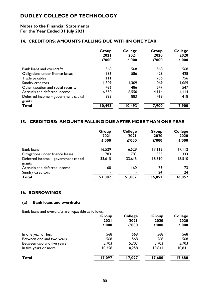### **Notes to the Financial Statements For the Year Ended 31 July 2021**

### **14. CREDITORS: AMOUNTS FALLING DUE WITHIN ONE YEAR**

|                                      | Group<br><b>2021</b><br>£'000 | <b>College</b><br><b>2021</b><br>£'000 | Group<br>2020<br>£'000 | <b>College</b><br>2020<br>£'000 |
|--------------------------------------|-------------------------------|----------------------------------------|------------------------|---------------------------------|
| <b>Bank loans and overdrafts</b>     | 568                           | 568                                    | 568                    | 568                             |
| Obligations under finance leases     | 586                           | 586                                    | 428                    | 428                             |
| Trade payables                       | $\mathbf{H}$                  | Ш                                      | 756                    | 756                             |
| Sundry creditors                     | 1,309                         | 1,309                                  | 1,069                  | 1,069                           |
| Other taxation and social security   | 486                           | 486                                    | 547                    | 547                             |
| Accruals and deferred income         | 6,550                         | 6,550                                  | 4,114                  | 4,114                           |
| Deferred income - government capital | 883                           | 883                                    | 418                    | 418                             |
| grants                               |                               |                                        |                        |                                 |
| <b>Total</b>                         | 10,493                        | 10,493                                 | 7,900                  | 7,900                           |

### **15. CREDITORS: AMOUNTS FALLING DUE AFTER MORE THAN ONE YEAR**

|                                                | Group<br><b>2021</b><br>£'000 | <b>College</b><br><b>2021</b><br>£'000 | Group<br>2020<br>£'000 | <b>College</b><br>2020<br>£'000 |
|------------------------------------------------|-------------------------------|----------------------------------------|------------------------|---------------------------------|
| Bank loans                                     | 16,529                        | 16,529                                 | 17, 112                | 17, 112                         |
| Obligations under finance leases               | 783                           | 783                                    | 333                    | 333                             |
| Deferred income - government capital<br>grants | 33,615                        | 33,615                                 | 18,510                 | 18,510                          |
| Accruals and deferred income                   | 160                           | 160                                    | 73                     | 73                              |
| <b>Sundry Creditors</b>                        |                               |                                        | 24                     | 24                              |
| <b>Total</b>                                   | 51,087                        | 51,087                                 | 36,052                 | 36,052                          |

### **16. BORROWINGS**

### **(a) Bank loans and overdrafts**

Bank loans and overdrafts are repayable as follows:

|                            | Group<br><b>2021</b><br>£'000 | <b>College</b><br><b>2021</b><br>£'000 | Group<br>2020<br>£'000 | <b>College</b><br>2020<br>£'000 |
|----------------------------|-------------------------------|----------------------------------------|------------------------|---------------------------------|
| In one year or less        | 568                           | 568                                    | 568                    | 568                             |
| Between one and two years  | 568                           | 568                                    | 568                    | 568                             |
| Between two and five years | 5,703                         | 5,703                                  | 5,703                  | 5,703                           |
| In five years or more      | 10,258                        | 10,258                                 | 10,841                 | 10,841                          |
| <b>Total</b>               | 17,097                        | 17,097                                 | 17,680                 | 17,680                          |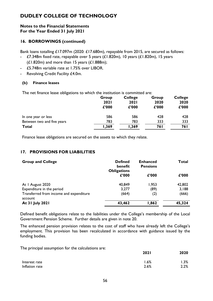#### **Notes to the Financial Statements For the Year Ended 31 July 2021**

# **16. BORROWINGS (continued)**

Bank loans totalling £17.097m (2020: £17.680m), repayable from 2015, are secured as follows: - £7.348m fixed rate, repayable over 5 years (£1.820m), 10 years (£1.820m), 15 years

- $(L1.820m)$  and more than 15 years  $(L1.888m)$ ;
	- £5.748m variable rate at 1.75% over LIBOR.
- Revolving Credit Facility £4.0m.

### **(b) Finance leases**

The net finance lease obligations to which the institution is committed are:

|                            | Group<br>2021<br>£'000 | <b>College</b><br><b>2021</b><br>£'000 | Group<br>2020<br>£'000 | <b>College</b><br>2020<br>£'000 |
|----------------------------|------------------------|----------------------------------------|------------------------|---------------------------------|
| In one year or less        | 586                    | 586                                    | 428                    | 428                             |
| Between two and five years | 783                    | 783                                    | 333                    | 333                             |
| <b>Total</b>               | 1,369                  | 1,369                                  | 76 I                   | 76 I                            |

Finance lease obligations are secured on the assets to which they relate.

# **17. PROVISIONS FOR LIABILITIES**

| <b>Group and College</b>                           | <b>Defined</b><br>benefit<br><b>Obligations</b> | <b>Enhanced</b><br><b>Pensions</b> | Total  |
|----------------------------------------------------|-------------------------------------------------|------------------------------------|--------|
|                                                    | £'000                                           | £'000                              | £'000  |
| At I August 2020                                   | 40,849                                          | 1,953                              | 42,802 |
| Expenditure in the period                          | 3,277                                           | (89)                               | 3,188  |
| Transferred from income and expenditure<br>account | (664)                                           | (2)                                | (666)  |
| At 31 July 2021                                    | 43,462                                          | 1,862                              | 45,324 |

Defined benefit obligations relate to the liabilities under the College's membership of the Local Government Pension Scheme. Further details are given in note 20.

The enhanced pension provision relates to the cost of staff who have already left the College's employment. This provision has been recalculated in accordance with guidance issued by the funding bodies.

The principal assumption for the calculations are:

|                | 2021    | 2020 |
|----------------|---------|------|
| Interest rate  | $1.6\%$ | .3%  |
| Inflation rate | 2.6%    | 2.2% |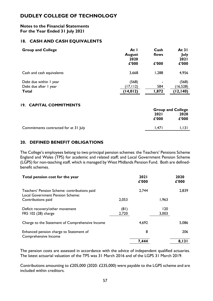#### **Notes to the Financial Statements For the Year Ended 31 July 2021**

### **18. CASH AND CASH EQUIVALENTS**

| <b>Group and College</b>                                        | At I<br><b>August</b><br>2020<br>£'000 | Cash<br>flows<br>£'000         | At $31$<br>July<br>2021<br>£'000 |
|-----------------------------------------------------------------|----------------------------------------|--------------------------------|----------------------------------|
| Cash and cash equivalents                                       | 3,668                                  | 1,288                          | 4,956                            |
| Debt due within I year<br>Debt due after I year<br><b>Total</b> | (568)<br>(17, 112)<br>(14, 012)        | $\blacksquare$<br>584<br>1,872 | (568)<br>16,528<br>(12, 140)     |

#### **19. CAPITAL COMMITMENTS**

|                                       |             | <b>Group and College</b> |  |
|---------------------------------------|-------------|--------------------------|--|
|                                       | <b>2021</b> | 2020                     |  |
|                                       | £'000       | £'000                    |  |
| Commitments contracted for at 31 July | I.47 I      | I, 13 I                  |  |
|                                       |             |                          |  |

### **20. DEFINED BENEFIT OBLIGATIONS**

The College's employees belong to two principal pension schemes: the Teachers' Pensions Scheme England and Wales (TPS) for academic and related staff; and Local Government Pension Scheme (LGPS) for non-teaching staff, which is managed by West Midlands Pension Fund. Both are definedbenefit schemes.

| Total pension cost for the year                                                  |               | <b>2021</b><br>£'000 |              | 2020<br>£'000 |
|----------------------------------------------------------------------------------|---------------|----------------------|--------------|---------------|
| Teachers' Pension Scheme: contributions paid<br>Local Government Pension Scheme: |               | 2,744                |              | 2,839         |
| Contributions paid                                                               | 2,053         |                      | 1,963        |               |
| Deficit recovery/other movement<br>FRS 102 (28) charge                           | (81)<br>2,720 |                      | 120<br>3,003 |               |
| Charge to the Statement of Comprehensive Income                                  |               | 4,692                |              | 5,086         |
| Enhanced pension charge to Statement of<br>Comprehensive Income                  |               | 8                    |              | 206           |
|                                                                                  |               | 7,444                |              | 8,131         |

The pension costs are assessed in accordance with the advice of independent qualified actuaries. The latest actuarial valuation of the TPS was 31 March 2016 and of the LGPS 31 March 2019.

Contributions amounting to £205,000 (2020: £235,000) were payable to the LGPS scheme and are included within creditors.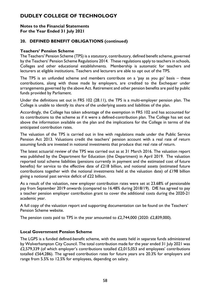#### **Notes to the Financial Statements For the Year Ended 31 July 2021**

# **20. DEFINED BENEFIT OBLIGATIONS (continued)**

### **Teachers' Pension Scheme**

The Teachers' Pension Scheme (TPS) is a statutory, contributory, defined benefit scheme, governed by the Teachers' Pension Scheme Regulations 2014. These regulations apply to teachers in schools, Colleges and other educational establishments. Membership is automatic for teachers and lecturers at eligible institutions. Teachers and lecturers are able to opt out of the TPS.

The TPS is an unfunded scheme and members contribute on a 'pay as you go' basis – these contributions, along with those made by employers, are credited to the Exchequer under arrangements governed by the above Act. Retirement and other pension benefits are paid by public funds provided by Parliament.

Under the definitions set out in FRS 102 (28.11), the TPS is a multi-employer pension plan. The College is unable to identify its share of the underlying assets and liabilities of the plan.

Accordingly, the College has taken advantage of the exemption in FRS 102 and has accounted for its contributions to the scheme as if it were a defined-contribution plan. The College has set out above the information available on the plan and the implications for the College in terms of the anticipated contribution rates.

The valuation of the TPS is carried out in line with regulations made under the Public Service Pension Act 2013. Valuations credit the teachers' pension account with a real rate of return assuming funds are invested in notional investments that produce that real rate of return.

The latest actuarial review of the TPS was carried out as at 31 March 2016. The valuation report was published by the Department for Education (the Department) in April 2019. The valuation reported total scheme liabilities (pensions currently in payment and the estimated cost of future benefits) for service to the effective date of  $E218$  billion, and notional assets (estimated future contributions together with the notional investments held at the valuation date) of  $£198$  billion giving a notional past service deficit of £22 billion.

As a result of the valuation, new employer contribution rates were set at 23.68% of pensionable pay from September 2019 onwards (compared to 16.48% during 2018/19). DfE has agreed to pay a teacher pension employer contribution grant to cover the additional costs during the 2020-21 academic year.

A full copy of the valuation report and supporting documentation can be found on the Teachers' Pension Scheme website.

The pension costs paid to TPS in the year amounted to  $\text{\textsterling}2,744,000$  (2020:  $\text{\textsterling}2,839,000$ ).

### **Local Government Pension Scheme**

The LGPS is a funded defined-benefit scheme, with the assets held in separate funds administered by Wolverhampton City Council. The total contribution made for the year ended 31 July 2021 was £2,579,339 (of which employer's contributions totalled £2,015,053 and employees' contributions totalled £564,286). The agreed contribution rates for future years are 20.3% for employers and range from 5.5% to 12.5% for employees, depending on salary.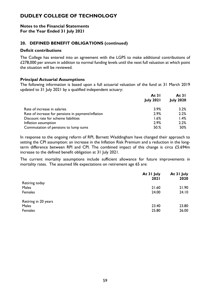#### **Notes to the Financial Statements For the Year Ended 31 July 2021**

### **20. DEFINED BENEFIT OBLIGATIONS (continued)**

#### **Deficit contributions**

The College has entered into an agreement with the LGPS to make additional contributions of £278,000 per annum in addition to normal funding levels until the next full valuation at which point the situation will be reviewed.

### **Principal Actuarial Assumptions**

The following information is based upon a full actuarial valuation of the fund at 31 March 2019 updated to 31 July 2021 by a qualified independent actuary:

|                                                    | At $31$          | At $31$          |
|----------------------------------------------------|------------------|------------------|
|                                                    | <b>July 2021</b> | <b>July 2020</b> |
| Rate of increase in salaries                       | 3.9%             | 3.2%             |
| Rate of increase for pensions in payment/inflation | 2.9%             | 2.2%             |
| Discount rate for scheme liabilities               | 1.6%             | 1.4%             |
| Inflation assumption                               | 2.9%             | 2.2%             |
| Commutation of pensions to lump sums               | 50.%             | 50%              |

In response to the ongoing reform of RPI, Barnett Waddingham have changed their approach to setting the CPI assumption: an increase in the Inflation Risk Premium and a reduction in the longterm difference between RPI and CPI. The combined impact of this change is circa £5.694m increase to the defined benefit obligation at 31 July 2021.

The current mortality assumptions include sufficient allowance for future improvements in mortality rates. The assumed life expectations on retirement age 65 are:

|                         | At 31 July<br><b>2021</b> | At 31 July<br>2020 |
|-------------------------|---------------------------|--------------------|
| Retiring today<br>Males |                           |                    |
|                         | 21.60                     | 21.90              |
| Females                 | 24.00                     | 24.10              |
| Retiring in 20 years    |                           |                    |
| Males                   | 23.40                     | 23.80              |
| Females                 | 25.80                     | 26.00              |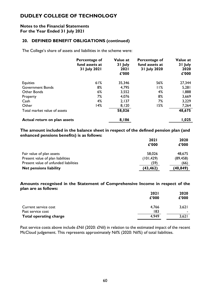#### **Notes to the Financial Statements For the Year Ended 31 July 2021**

### **20. DEFINED BENEFIT OBLIGATIONS (continued)**

The College's share of assets and liabilities in the scheme were:

|                              | Percentage of<br>fund assets at<br>31 July 2021 | Value at<br>31 July<br><b>2021</b><br>£'000 | Percentage of<br>fund assets at<br>31 July 2020 | Value at<br>31 July<br>2020<br>£'000 |
|------------------------------|-------------------------------------------------|---------------------------------------------|-------------------------------------------------|--------------------------------------|
| Equities                     | 61%                                             | 35,346                                      | 56%                                             | 27,344                               |
| <b>Government Bonds</b>      | 8%                                              | 4,795                                       | 11%                                             | 5,281                                |
| Other Bonds                  | 6%                                              | 3,552                                       | 4%                                              | 1,888                                |
| Property                     | 7%                                              | 4,076                                       | 8%                                              | 3,669                                |
| Cash                         | 4%                                              | 2,137                                       | 7%                                              | 3,229                                |
| Other                        | 14%                                             | 8,120                                       | 15%                                             | 7,264                                |
| Total market value of assets |                                                 | 58,026                                      |                                                 | 48,675                               |
| Actual return on plan assets |                                                 | 8,186                                       |                                                 | 1,025                                |

**The amount included in the balance sheet in respect of the defined pension plan (and enhanced pensions benefits) is as follows:**

|                                       | <b>2021</b> | 2020      |
|---------------------------------------|-------------|-----------|
|                                       | £'000       | £'000     |
| Fair value of plan assets             | 58,026      | 48,675    |
| Present value of plan liabilities     | (101, 429)  | (89, 458) |
| Present value of unfunded liabilities | (59)        | (66)      |
| <b>Net pensions liability</b>         | (43, 462)   | (40,849)  |

**Amounts recognised in the Statement of Comprehensive Income in respect of the plan are as follows:**

|                                           | <b>2021</b><br>£'000 | 2020<br>£'000 |
|-------------------------------------------|----------------------|---------------|
| Current service cost<br>Past service cost | 4,766<br>183         | 3,621<br>۰    |
| <b>Total operating charge</b>             | 4,949                | 3,621         |

Past service costs above include £Nil (2020: £Nil) in relation to the estimated impact of the recent McCloud judgement. This represents approximately Nil% (2020: Nil%) of total liabilities.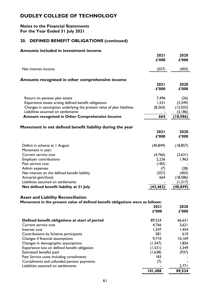### **Notes to the Financial Statements For the Year Ended 31 July 2021**

# **20. DEFINED BENEFIT OBLIGATIONS (continued)**

#### **Amounts included in investment income**

|                                                                        | 2021<br>£'000        | 2020<br>£'000 |
|------------------------------------------------------------------------|----------------------|---------------|
| Net interest income                                                    | (557)                | (403)         |
| Amounts recognised in other comprehensive income                       |                      |               |
|                                                                        | <b>2021</b><br>£'000 | 2020<br>£'000 |
| Return on pension plan assets                                          | 7,496                | (26)          |
| Experience losses arising defined benefit obligations                  | 1,531                | (3,349)       |
| Changes in assumption underlying the present value of plan liabilities | (8, 363)             | (12,025)      |
| Liabilities assumed on settlements                                     |                      | (3,186)       |
| <b>Amount recognised in Other Comprehensive Income</b>                 | 664                  | (18, 586)     |
| Movement in net defined benefit liability during the year              | 2021<br>£'000        | 2020<br>£'000 |
| Deficit in scheme at I August<br>Movement in year:                     | (40, 849)            | (18, 857)     |
| Current service cost                                                   | (4,766)              | (3,621)       |
| <b>Employer contributions</b>                                          | 2,236                | 1,963         |
| Past service cost                                                      | (183)                |               |
| Admin expenses                                                         | (7)                  | (28)          |
| Net interest on the defined benefit liability                          | (557)                | (403)         |
| Actuarial gain/(loss)                                                  | 664                  | (18, 586)     |
| Liabilities assumed on settlements                                     |                      | (1,317)       |
| Net defined benefit liability at 31 July                               | (43, 462)            | (40, 849)     |

### **Asset and Liability Reconciliation**

| Movement in the present value of defined benefit obligations were as follows: |             |        |
|-------------------------------------------------------------------------------|-------------|--------|
|                                                                               | <b>2021</b> | 2020   |
|                                                                               | £'000       | £'000  |
| Defined benefit obligations at start of period                                | 89,524      | 66,631 |
| Current service cost                                                          | 4,766       | 3,621  |
| Interest cost                                                                 | 1,247       | 1,454  |
| Contributions by Scheme participants                                          | 581         | 610    |
| Changes if financial assumptions                                              | 9,710       | 10,169 |
| Changes in demographic assumptions                                            | (1, 347)    | 1,856  |
| Experience loss on defined benefit obligation                                 | (1, 531)    | 3,349  |
| Estimated benefits paid                                                       | (1,638)     | (937)  |
| Past Service costs including curtailments                                     | 183         |        |
| Curtailments and unfunded pension payments                                    | (1)         |        |
| Liabilities assumed on settlements                                            |             | 2,771  |
|                                                                               | 101,488     | 89,524 |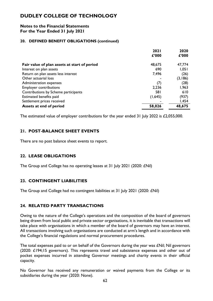#### **Notes to the Financial Statements For the Year Ended 31 July 2021**

#### **20. DEFINED BENEFIT OBLIGATIONS (continued)**

|                                              | <b>2021</b> | 2020    |
|----------------------------------------------|-------------|---------|
|                                              | £'000       | £'000   |
| Fair value of plan assets at start of period | 48,675      | 47,774  |
| Interest on plan assets                      | 690         | 1,051   |
| Return on plan assets less interest          | 7,496       | (26)    |
| Other actuarial loss                         |             | (3,186) |
| Administration expenses                      | (7)         | (28)    |
| <b>Employer contributions</b>                | 2,236       | 1,963   |
| Contributions by Scheme participants         | 581         | 610     |
| Estimated benefits paid                      | (1,645)     | (937)   |
| Settlement prices received                   |             | 1,454   |
| Assets at end of period                      | 58,026      | 48,675  |

The estimated value of employer contributions for the year ended 31 July 2022 is £2,055,000.

# **21. POST-BALANCE SHEET EVENTS**

There are no post balance sheet events to report.

# **22. LEASE OBLIGATIONS**

The Group and College has no operating leases at 31 July 2021 (2020: £Nil)

# **23. CONTINGENT LIABILITIES**

The Group and College had no contingent liabilities at 31 July 2021 (2020: £Nil)

# **24. RELATED PARTY TRANSACTIONS**

Owing to the nature of the College's operations and the composition of the board of governors being drawn from local public and private sector organisations, it is inevitable that transactions will take place with organisations in which a member of the board of governors may have an interest. All transactions involving such organisations are conducted at arm's length and in accordance with the College's financial regulations and normal procurement procedures.

The total expenses paid to or on behalf of the Governors during the year was £Nil; Nil governors (2020: £194;15 governors). This represents travel and subsistence expenses and other out of pocket expenses incurred in attending Governor meetings and charity events in their official capacity.

No Governor has received any remuneration or waived payments from the College or its subsidiaries during the year (2020: None).